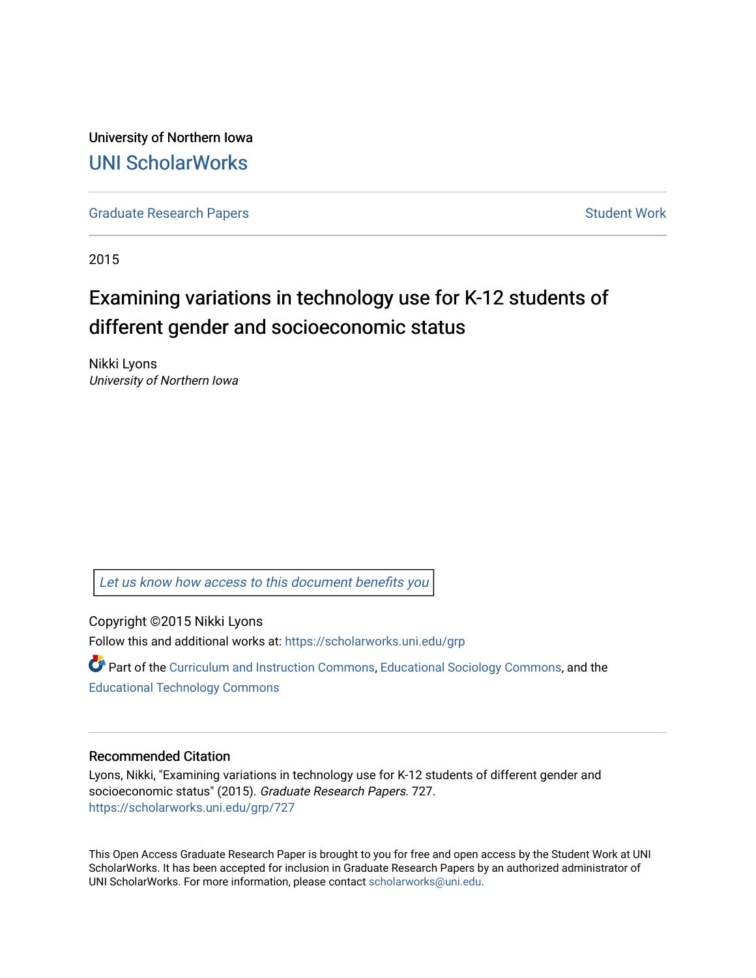University of Northern Iowa [UNI ScholarWorks](https://scholarworks.uni.edu/) 

[Graduate Research Papers](https://scholarworks.uni.edu/grp) **Student Work** Student Work

2015

# Examining variations in technology use for K-12 students of different gender and socioeconomic status

Nikki Lyons University of Northern Iowa

[Let us know how access to this document benefits you](https://scholarworks.uni.edu/feedback_form.html) 

Copyright ©2015 Nikki Lyons Follow this and additional works at: [https://scholarworks.uni.edu/grp](https://scholarworks.uni.edu/grp?utm_source=scholarworks.uni.edu%2Fgrp%2F727&utm_medium=PDF&utm_campaign=PDFCoverPages) 

**P** Part of the [Curriculum and Instruction Commons,](http://network.bepress.com/hgg/discipline/786?utm_source=scholarworks.uni.edu%2Fgrp%2F727&utm_medium=PDF&utm_campaign=PDFCoverPages) [Educational Sociology Commons,](http://network.bepress.com/hgg/discipline/1071?utm_source=scholarworks.uni.edu%2Fgrp%2F727&utm_medium=PDF&utm_campaign=PDFCoverPages) and the [Educational Technology Commons](http://network.bepress.com/hgg/discipline/1415?utm_source=scholarworks.uni.edu%2Fgrp%2F727&utm_medium=PDF&utm_campaign=PDFCoverPages)

#### Recommended Citation

Lyons, Nikki, "Examining variations in technology use for K-12 students of different gender and socioeconomic status" (2015). Graduate Research Papers. 727. [https://scholarworks.uni.edu/grp/727](https://scholarworks.uni.edu/grp/727?utm_source=scholarworks.uni.edu%2Fgrp%2F727&utm_medium=PDF&utm_campaign=PDFCoverPages) 

This Open Access Graduate Research Paper is brought to you for free and open access by the Student Work at UNI ScholarWorks. It has been accepted for inclusion in Graduate Research Papers by an authorized administrator of UNI ScholarWorks. For more information, please contact [scholarworks@uni.edu.](mailto:scholarworks@uni.edu)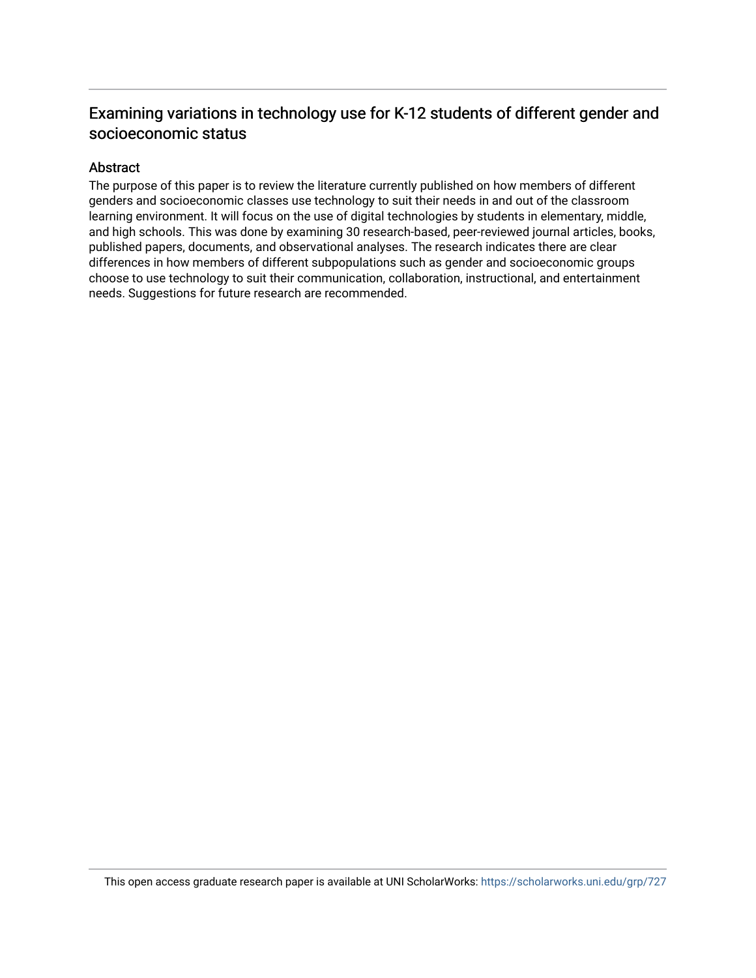## Examining variations in technology use for K-12 students of different gender and socioeconomic status

#### Abstract

The purpose of this paper is to review the literature currently published on how members of different genders and socioeconomic classes use technology to suit their needs in and out of the classroom learning environment. It will focus on the use of digital technologies by students in elementary, middle, and high schools. This was done by examining 30 research-based, peer-reviewed journal articles, books, published papers, documents, and observational analyses. The research indicates there are clear differences in how members of different subpopulations such as gender and socioeconomic groups choose to use technology to suit their communication, collaboration, instructional, and entertainment needs. Suggestions for future research are recommended.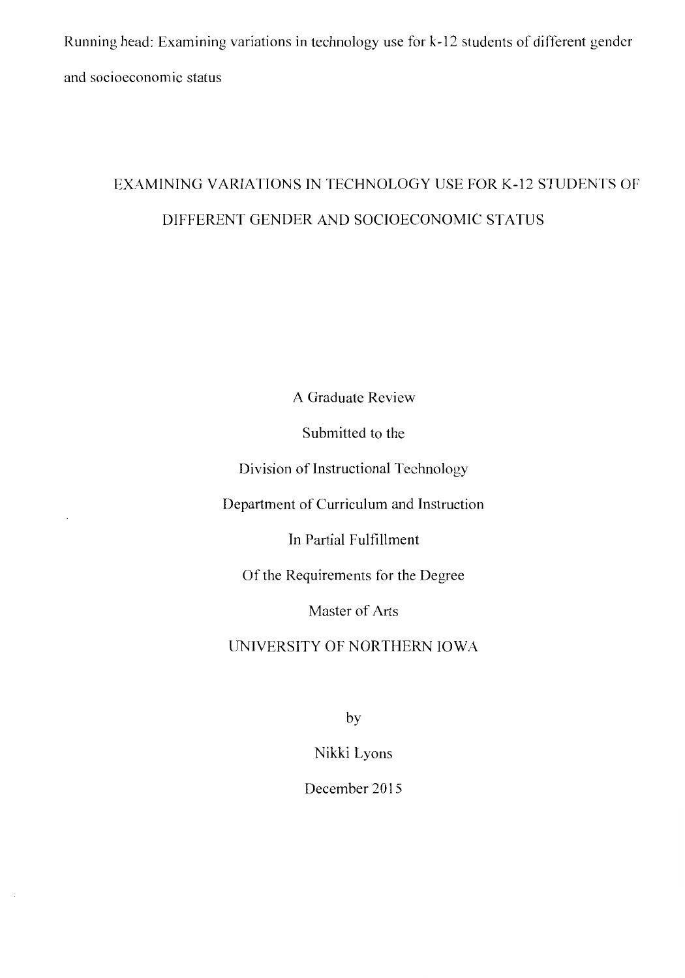Running head: Examining variations in technology use for k-12 students of different gender and socioeconomic status

## EXAMINING VARIATIONS IN TECHNOLOGY USE FOR K-12 STUDENTS OF DIFFERENT GENDER AND SOCIOECONOMIC STATUS

A Graduate Review

Submitted to the

Division of Instructional Technology

Department of Curriculum and Instruction

In Partial Fulfillment

Of the Requirements for the Degree

Master of Arts

UNIVERSITY OF NORTHERN IOWA

by

Nikki Lyons

December 2015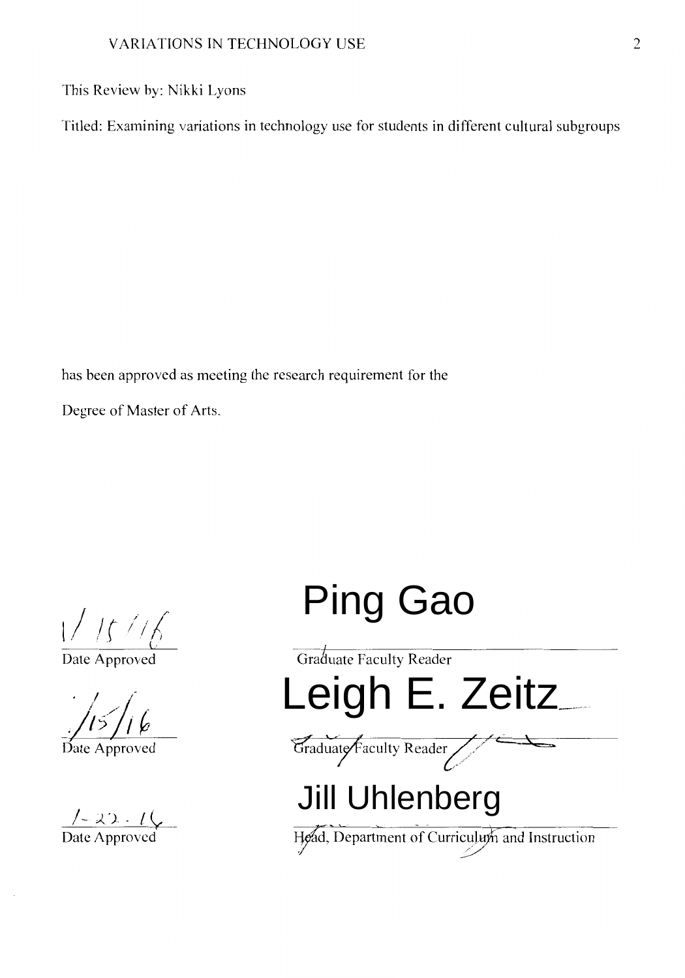This Review by: Nikki Lyons

Titled: Examining variations in technology use for students in different cultural subgroups

has been approved as meeting the research requirement for the

Degree of Master of Arts.

 $1/15/16$ 

Date Approved

 $/5/16$ 

Date Approved

 $\frac{7-2.2.1}{\text{Date}\,\text{Approved}}$ 

# Ping Gao

Graduate Faculty Reader Leigh E. Zeitz Graduate Faculty Reader Jill Uhlenberg

Date Approved Head, Department of Curriculum and Instruction /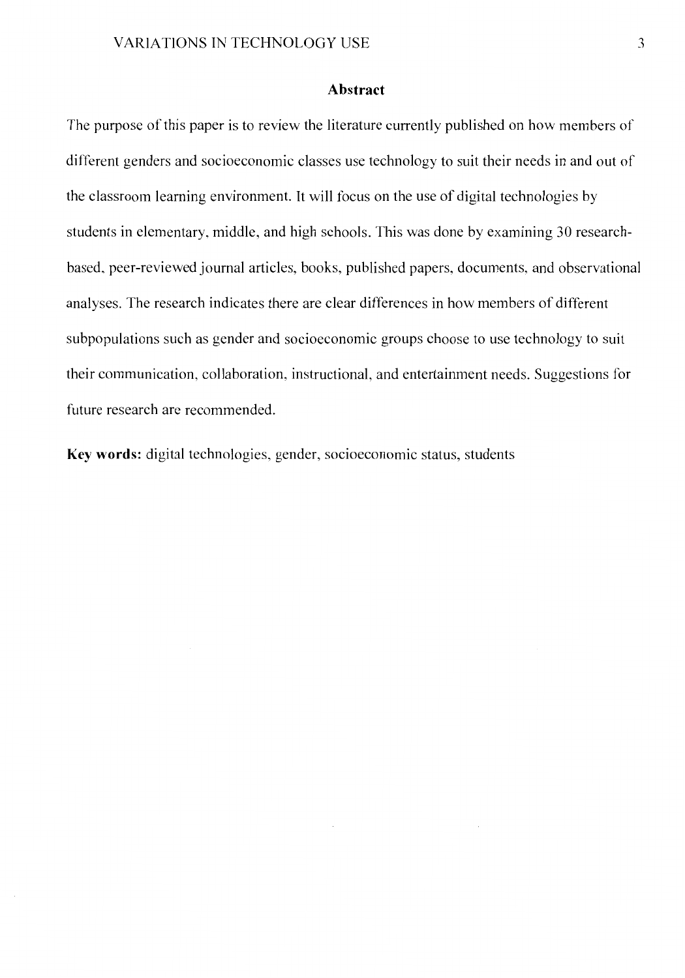#### **Abstract**

The purpose of this paper is to review the literature currently published on how members of difierent genders and socioeconomic classes use technology to suit their needs in and out of the classroom learning environment. It will focus on the use of digital technologies by students in elementary, middle, and high schools. This was done by examining 30 researchbased, peer-reviewed journal articles, books, published papers, documents, and observational analyses. The research indicates there are clear differences in how members of different subpopulations such as gender and socioeconomic groups choose to use technology to suit their communication, collaboration, instructional, and entertainment needs. Suggestions for future research are recommended.

**Key words:** digital technologies, gender, socioeconomic status, students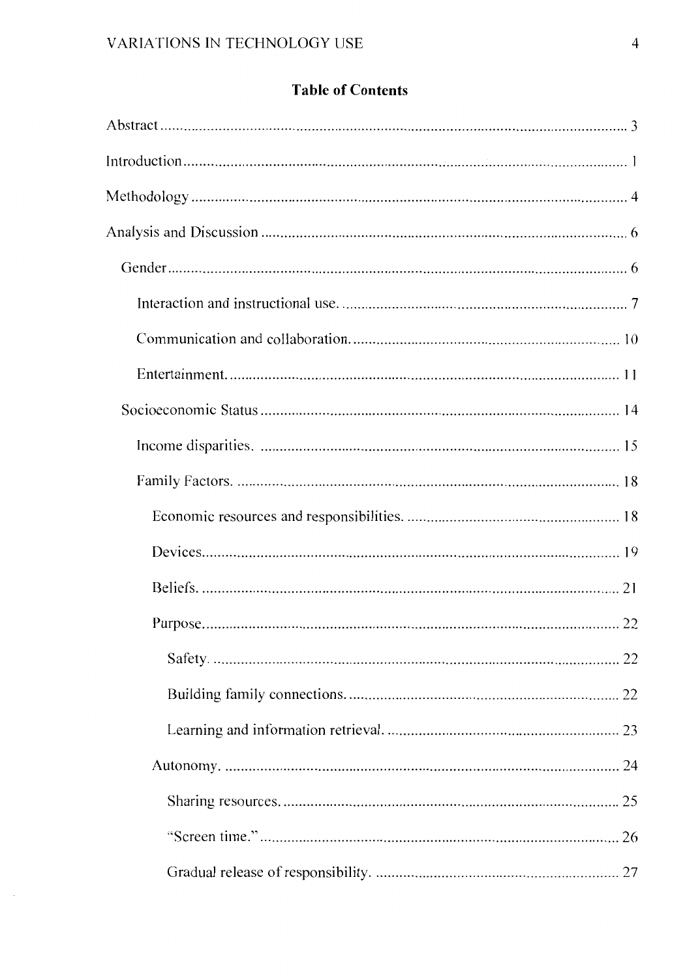### **Table of Contents**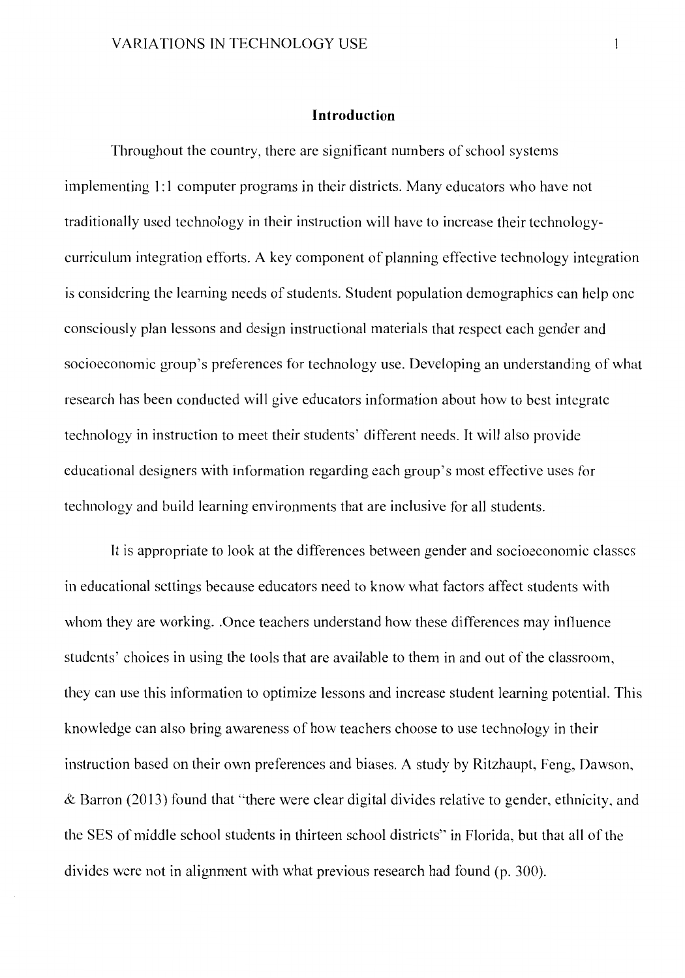#### **Introduction**

Throughout the country, there are significant numbers of school systems implementing 1:1 computer programs in their districts. Many educators who have not traditionally used technology in their instruction will have to increase their technologycurriculum integration efforts. A key component of planning effective technology integration is considering the learning needs of students. Student population demographics can help one consciously plan lessons and design instructional materials that respect each gender and socioeconomic group's preferences for technology use. Developing an understanding of what research has been conducted will give educators information about how to best integrate technology in instruction to meet their students' different needs. It will also provide educational designers with information regarding each group's most effective uses for technology and build learning environments that are inclusive for all students.

It is appropriate to look at the differences between gender and socioeconomic classes in educational settings because educators need to know what factors affect students with whom they are working. Once teachers understand how these differences may influence students' choices in using the tools that are available to them in and out of the classroom, they can use this information to optimize lessons and increase student learning potential. This knowledge can also bring awareness of how teachers choose to use technology in their instruction based on their own preferences and biases. A study by Ritzhaupt, Feng, Dawson, & Barron (2013) found that "there were clear digital divides relative to gender, ethnicity, and the SES of middle school students in thirteen school districts" in Florida, but that all of the divides were not in alignment with what previous research had found (p. 300).

 $\mathbf{1}$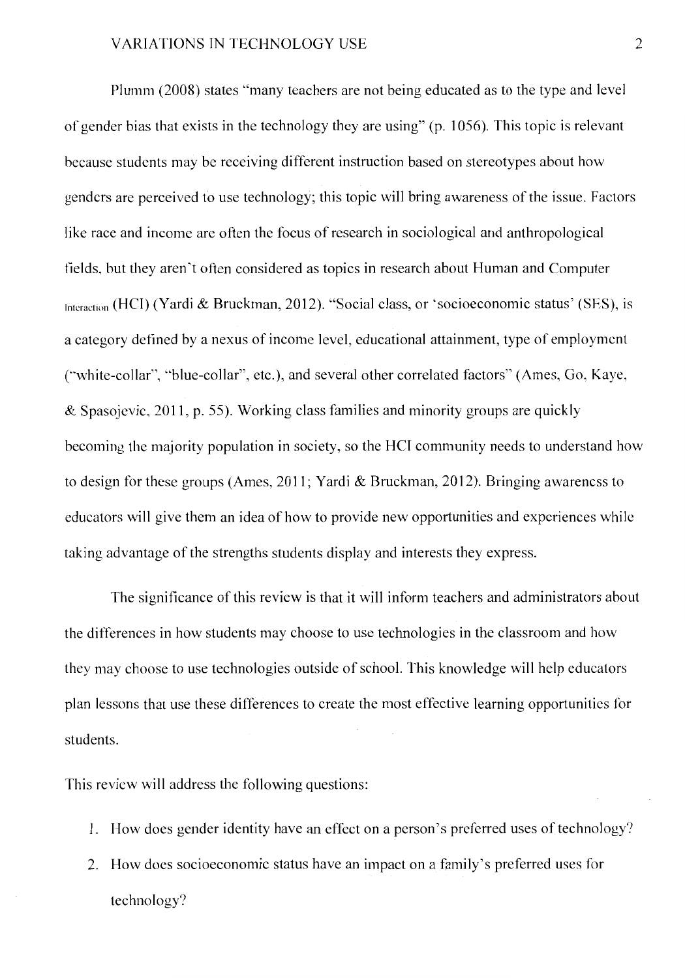Plumm (2008) states ''many teachers are not being educated as to the type and level of gender bias that exists in the technology they are using" (p. 1056). This topic is relevant because students may be receiving different instruction based on stereotypes about how genders are perceived to use technology; this topic will bring awareness of the issue. Factors like race and income are often the focus of research in sociological and anthropological fields, hut they aren't often considered as topics in research about Human and Computer Interaction (HCI) (Yardi & Bruckman, 2012). "Social class, or 'socioeconomic status' (SES), is a category defined by a nexus of income level, educational attainment, type of employment (""white-collar", "blue-collar", etc.), and several other correlated factors" (Ames, Go, Kaye, & Spasojcvic, 2011, p. 55). Working class families and minority groups are quickly becoming the majority population in society, so the HCI community needs to understand how to design for these groups (Ames, 2011; Yardi & Bruckman, 2012). Bringing awareness to educators will give them an idea of how to provide new opportunities and experiences while taking advantage of the strengths students display and interests they express.

The significance of this review is that it will inform teachers and administrators about the differences in how students may choose to use technologies in the classroom and how they may choose to use technologies outside of school. This knowledge will help educators plan lessons that use these differences to create the most effective learning opportunities for students.

This review will address the following questions:

- 1. How does gender identity have an effect on a person's preferred uses of technology?
- 2. How does socioeconomic status have an impact on a family's preferred uses for technology?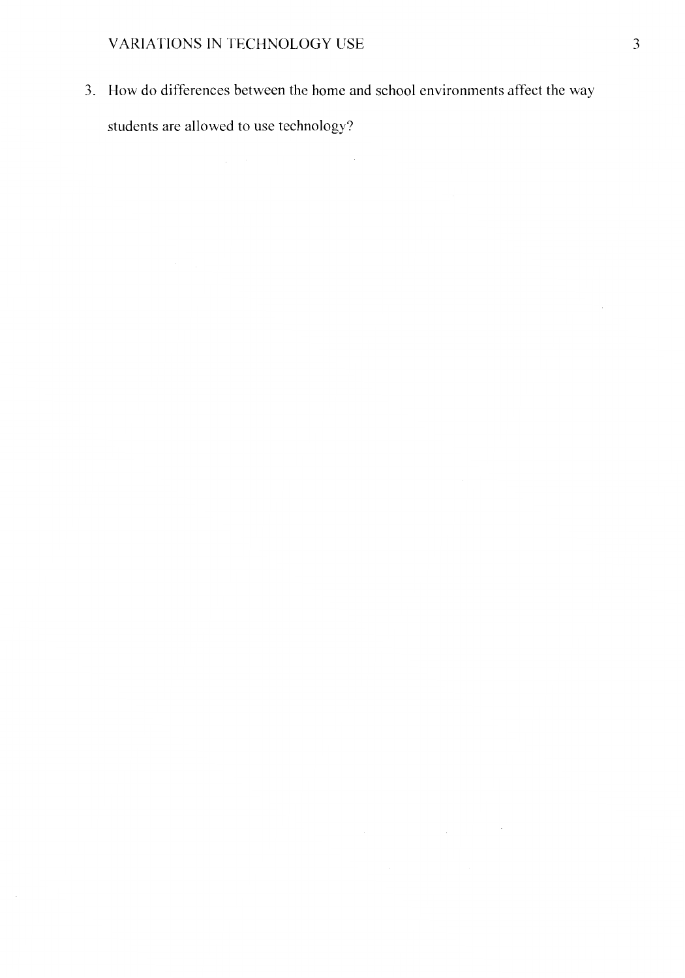3. How do differences between the home and school environments affect the way students are allowed to use technology?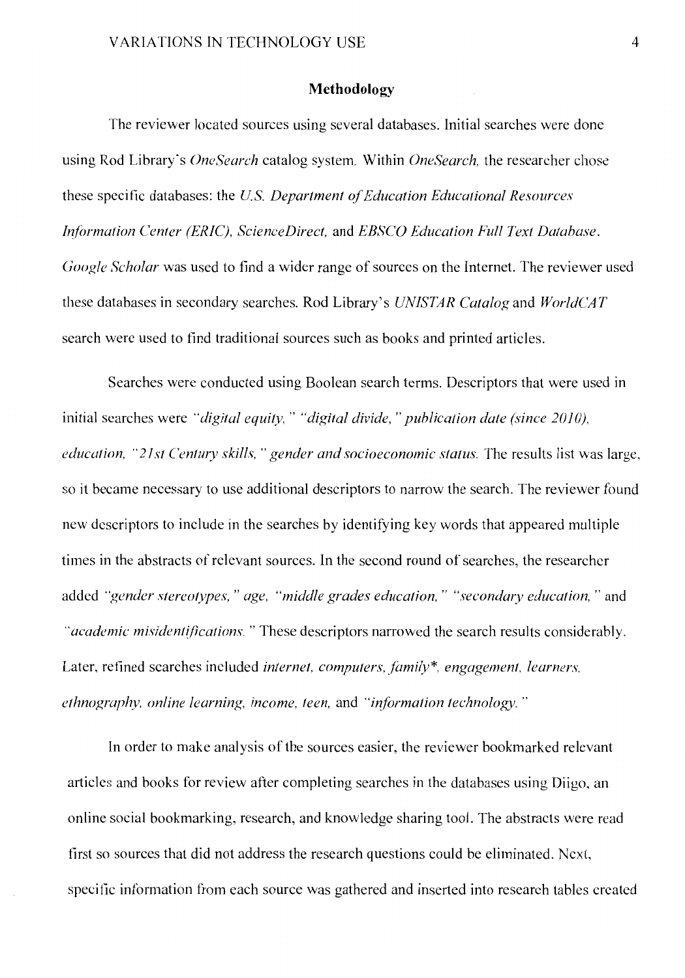#### **Methodology**

The reviewer located sources using several databases. Initial searches were done using Rod Library's *OneSearch* catalog system. Within *OneSearch,* the researcher chose these specific databases: the *U.S. Department of Education Educational Resources Information Center (ERIC), ScienceDirect, and EBSCO Education Full Text Database. Google Scholar* was used to find a wider range of sources on the Internet. The reviewer used these databases in secondary searches. Rod Library's *UNISTAR Catalog* and *WorldCAT*  search were used to find traditional sources such as books and printed articles.

Searches were conducted using Boolean search terms. Descriptors that were used in initial searches were "digital equity," "digital divide," publication date (since 2010), *education, "21st Century skills," gender and socioeconomic status.* The results list was large, so it became necessary to use additional descriptors to narrow the search. The reviewer found new descriptors to include in the searches by identifying key words that appeared multiple times in the abstracts of relevant sources. In the second round of searches, the researcher added *"gender stereotypes, "age, "middle grades education,* " *"secondary education,* " and "*academic misidentifications.*" These descriptors narrowed the search results considerably. Later, refined searches included *internet, computers. family\*. engagement, learners. ethnography, online learning, income, teen, and "information technology."* 

In order to make analysis of the sources easier, the reviewer bookmarked relevant articles and books for review after completing searches in the databases using Diigo, an online social bookmarking, research, and knowledge sharing tool. The abstracts were read first so sources that did not address the research questions could be eliminated. Next, specific information from each source was gathered and inserted into research tables created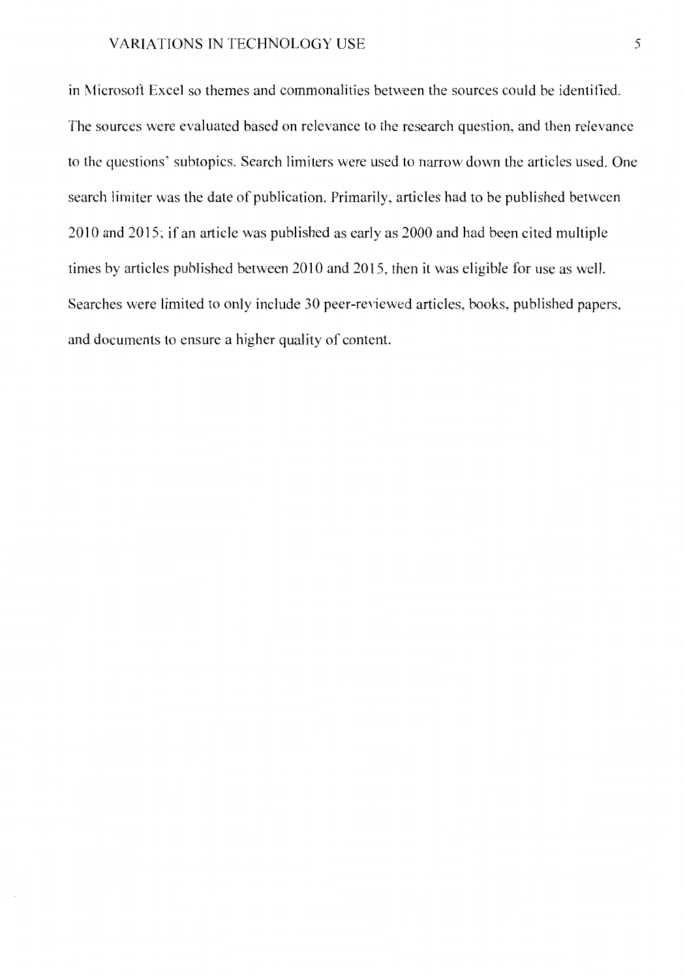in Microsoft Excel so themes and commonalities between the sources could be identified. The sources were evaluated based on relevance to the research question, and then relevance to the questions' subtopics. Search limiters were used to narrow down the articles used. One search limiter was the date of publication. Primarily, articles had to be published between 2010 and 2015; if an article was published as early as 2000 and had been cited multiple times by articles published between 2010 and 2015, then it was eligible for use as well. Searches were limited to only include 30 peer-reviewed articles, books, published papers, and documents to ensure a higher quality of content.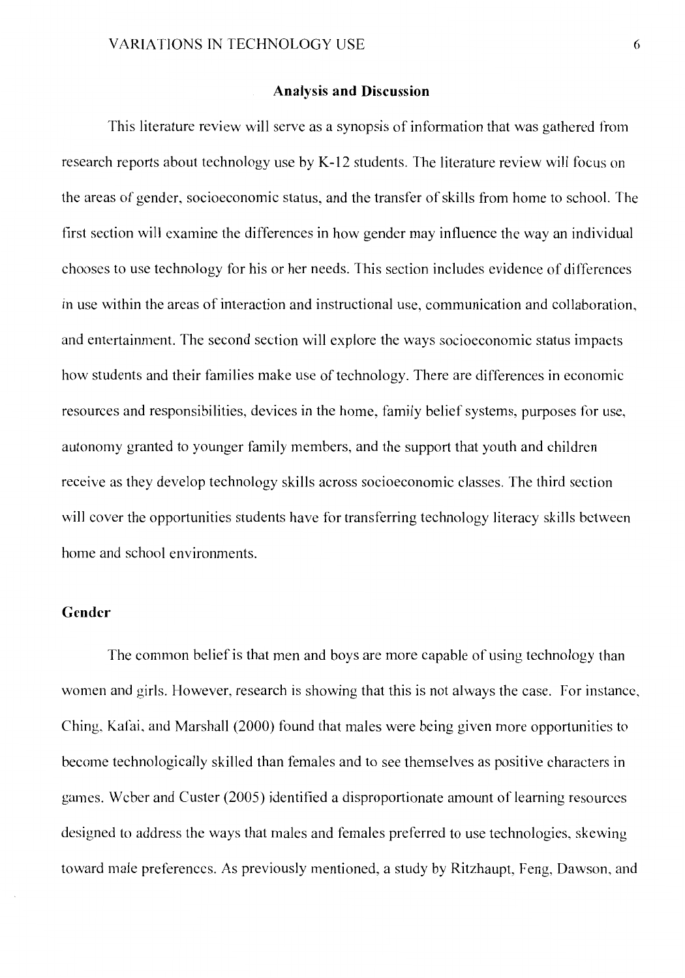#### **Analysis and Discussion**

This literature review will serve as a synopsis of information that was gathered from research reports about technology use by K-12 students. The literature review will focus on the areas of gender, socioeconomic status, and the transfer of skills from home to school. The first section will examine the differences in how gender may influence the way an individual chooses to use technology for his or her needs. This section includes evidence of differences in use within the areas of interaction and instructional use, communication and collaboration, and entertainment. The second section will explore the ways socioeconomic status impacts how students and their families make use of technology. There are differences in economic resources and responsibilities, devices in the home, family belief systems, purposes for use, autonomy granted to younger family members, and the support that youth and children receive as they develop technology skills across socioeconomic classes. The third section will cover the opportunities students have for transferring technology literacy skills between home and school environments.

#### **Gender**

The common belief is that men and boys are more capable of using technology than women and girls. However, research is showing that this is not always the case. For instance, Ching, Kafai, and Marshall (2000) found that males were being given more opportunities to become technologically skilled than females and to see themselves as positive characters in games. Weber and Custer (2005) identified a disproportionate amount of learning resources designed to address the ways that males and females preferred to use technologies, skewing toward male preferences. As previously mentioned, a study by Ritzhaupt, Feng, Dawson, and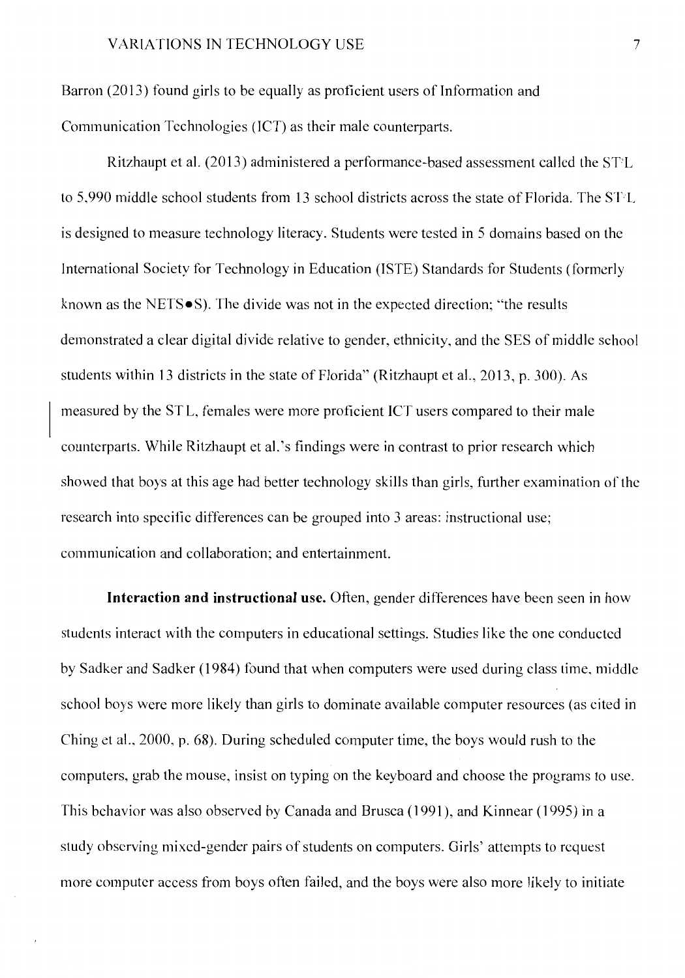Barron (2013) found girls to be equally as proficient users of Information and Communication Technologies (JCT) as their male counterparts.

Ritzhaupt et al. (2013) administered a performance-based assessment called the ST'L to 5,990 middle school students from 13 school districts across the state of Florida. The ST'L is designed to measure technology literacy. Students were tested in 5 domains based on the International Society for Technology in Education (ISTE) Standards for Students (formerly known as the NETS•S). The divide was not in the expected direction; "the results demonstrated a clear digital divide relative to gender, ethnicity, and the SES of middle school students within 13 districts in the state of Florida" (Ritzhaupt et al., 2013, p. 300). As measured by the ST L, females were more proficient JCT users compared to their male counterparts. While Ritzhaupt et al. 's findings were in contrast to prior research which showed that boys at this age had better technology skills than girls, further examination of the research into specific differences can be grouped into 3 areas: instructional use; communication and collaboration; and entertainment.

**Interaction and instructional use.** Often, gender differences have been seen in how students interact with the computers in educational settings. Studies like the one conducted by Sadker and Sadker (1984) found that when computers were used during class time, middle school boys were more likely than girls to dominate available computer resources (as cited in Ching et al., 2000, p. 68). During scheduled computer time, the boys would rush to the computers, grab the mouse, insist on typing on the keyboard and choose the programs to use. This behavior was also observed by Canada and Brusca ( 1991 ), and Kinnear ( 1995) in a study observing mixed-gender pairs of students on computers. Girls' attempts to request more computer access from boys often failed, and the boys were also more likely to initiate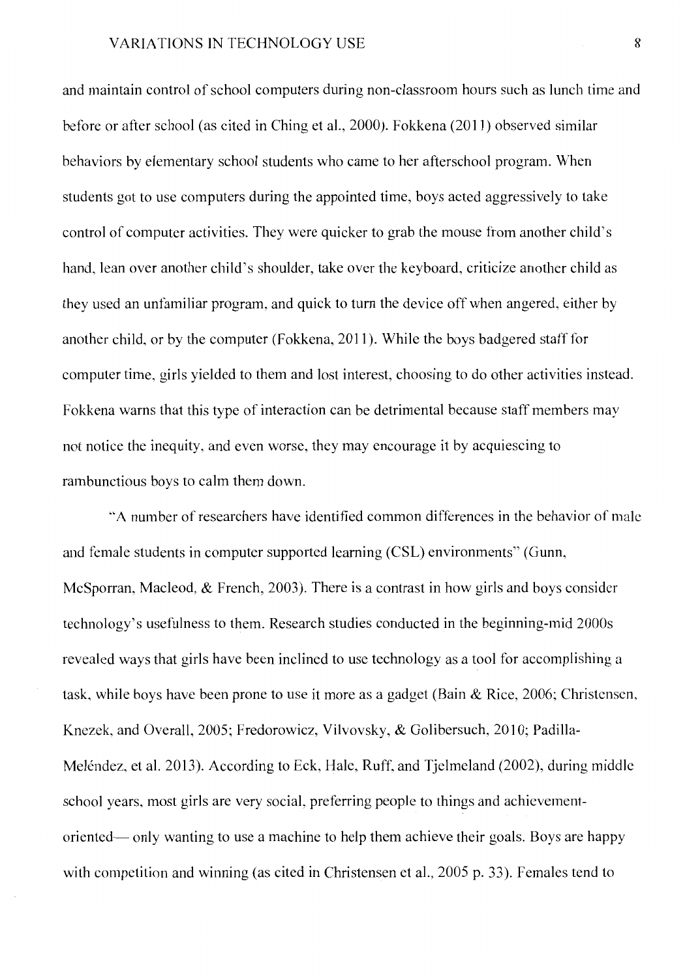and maintain control of school computers during non-classroom hours such as lunch time and before or after school (as cited in Ching et al., 2000). Fokkena (2011) observed similar behaviors by elementary school students who came to her afterschool program. When students got to use computers during the appointed time, boys acted aggressively to take control of computer activities. They were quicker to grab the mouse from another child's hand, lean over another child's shoulder, take over the keyboard, criticize another child as they used an unfamiliar program, and quick to tum the device off when angered, either hy another child, or hy the computer (Fokkena, 2011). While the boys badgered staff for computer time, girls yielded to them and lost interest, choosing to do other activities instead. Fokkena warns that this type of interaction can be detrimental because staff members may not notice the inequity, and even worse, they may encourage it by acquiescing to rambunctious boys to calm them down.

"'A number of researchers have identified common differences in the behavior of male and female students in computer supported learning (CSL) environments" (Gunn, McSporran, Macleod, & French, 2003). There is a contrast in how girls and boys consider technology's usefulness to them. Research studies conducted in the beginning-mid 2000s revealed ways that girls have been inclined to use technology as a tool for accomplishing a task, while boys have been prone to use it more as a gadget (Bain & Rice, 2006; Christensen, Knezek, and Overall, 2005; Fredorowicz, Vilvovsky, & Golibersuch, 2010; Padilla-Meléndez, et al. 2013). According to Eck, Hale, Ruff, and Tjelmeland (2002), during middle school years, most girls are very social, preferring people to things and achievementoriented- only wanting to use a machine to help them achieve their goals. Boys are happy with competition and winning (as cited in Christensen et al., 2005 p. 33). Females tend to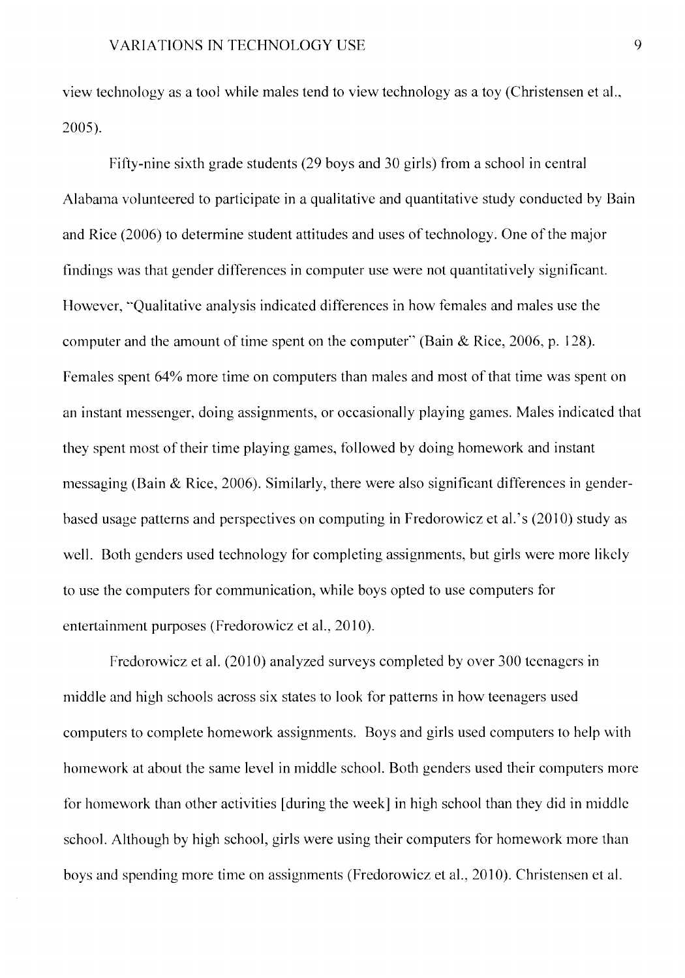view technology as a tool while males tend to view technology as a toy (Christensen et al., 2005).

Fifty-nine sixth grade students (29 boys and 30 girls) from a school in central Alabama volunteered to participate in a qualitative and quantitative study conducted by Bain and Rice (2006) to determine student attitudes and uses of technology. One of the major findings was that gender differences in computer use were not quantitatively significant. However, "Qualitative analysis indicated differences in how females and males use the computer and the amount of time spent on the computer" (Bain & Rice, 2006, p. 128). Females spent 64% more time on computers than males and most of that time was spent on an instant messenger, doing assignments, or occasionally playing games. Males indicated that they spent most of their time playing games, followed by doing homework and instant messaging (Bain & Rice, 2006). Similarly, there were also significant differences in genderbased usage patterns and perspectives on computing in Fredorowicz et al.' s (2010) study as well. Both genders used technology for completing assignments, but girls were more likely to use the computers for communication, while boys opted to use computers for entertainment purposes (Fredorowicz et al., 2010).

Fredorowicz et al. (2010) analyzed surveys completed by over 300 teenagers in middle and high schools across six states to look for patterns in how teenagers used computers to complete homework assignments. Boys and girls used computers to help with homework at about the same level in middle school. Both genders used their computers more for homework than other activities [ during the week] in high school than they did in middle school. Although by high school, girls were using their computers for homework more than boys and spending more time on assignments (Fredorowicz et al., 2010). Christensen et al.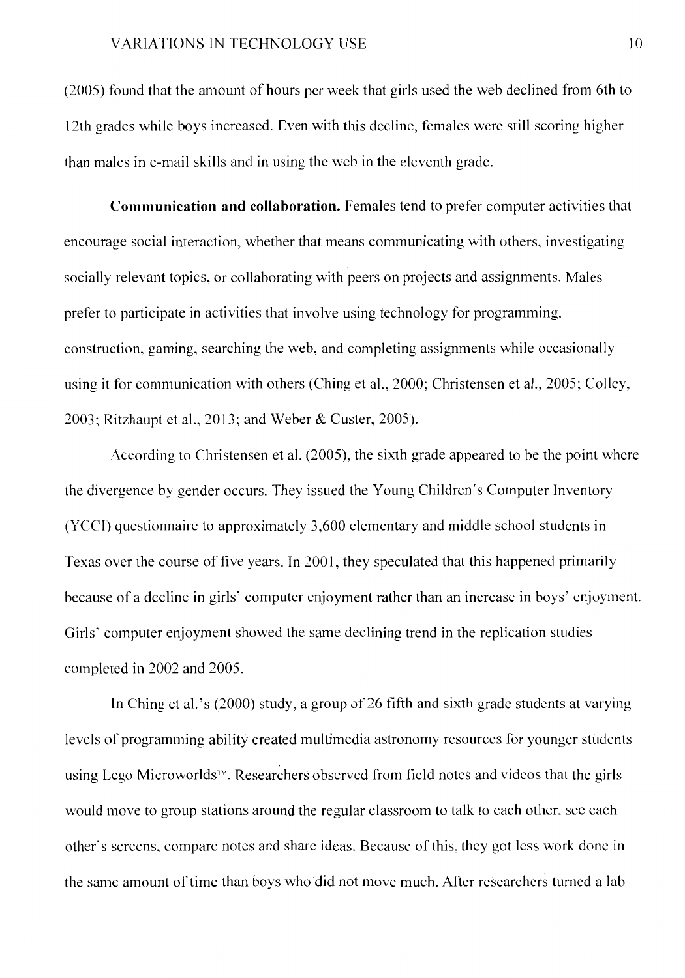(2005) found that the amount of hours per week that girls used the web declined from 6th to 12th grades while boys increased. Even with this decline, females were still scoring higher than males in e-mail skills and in using the web in the eleventh grade.

**Communication and collaboration.** Females tend to prefer computer activities that encourage social interaction, whether that means communicating with others, investigating socially relevant topics, or collaborating with peers on projects and assignments. Males prefer to participate in activities that involve using technology for programming, construction, gaming, searching the web, and completing assignments while occasionally using it for communication with others (Ching et al., 2000; Christensen et al., 2005; Colley, 2003; Ritzhaupt ct al., 2013; and Weber & Custer, 2005).

According to Christensen et al. (2005), the sixth grade appeared to be the point where the divergence by gender occurs. They issued the Young Children's Computer Inventory (YCCI) questionnaire to approximately 3,600 elementary and middle school students in Texas over the course of five years. In 2001, they speculated that this happened primarily because of a decline in girls' computer enjoyment rather than an increase in boys' enjoyment. Girls' computer enjoyment showed the same declining trend in the replication studies completed in 2002 and 2005.

In Ching et al.'s (2000) study, a group of 26 fifth and sixth grade students at varying levels of programming ability created multimedia astronomy resources for younger students using Lego Microworlds™. Researchers observed from field notes and videos that the girls would move to group stations around the regular classroom to talk to each other, see each other's screens, compare notes and share ideas. Because of this, they got less work done in the same amount of time than boys who did not move much. After researchers turned a lab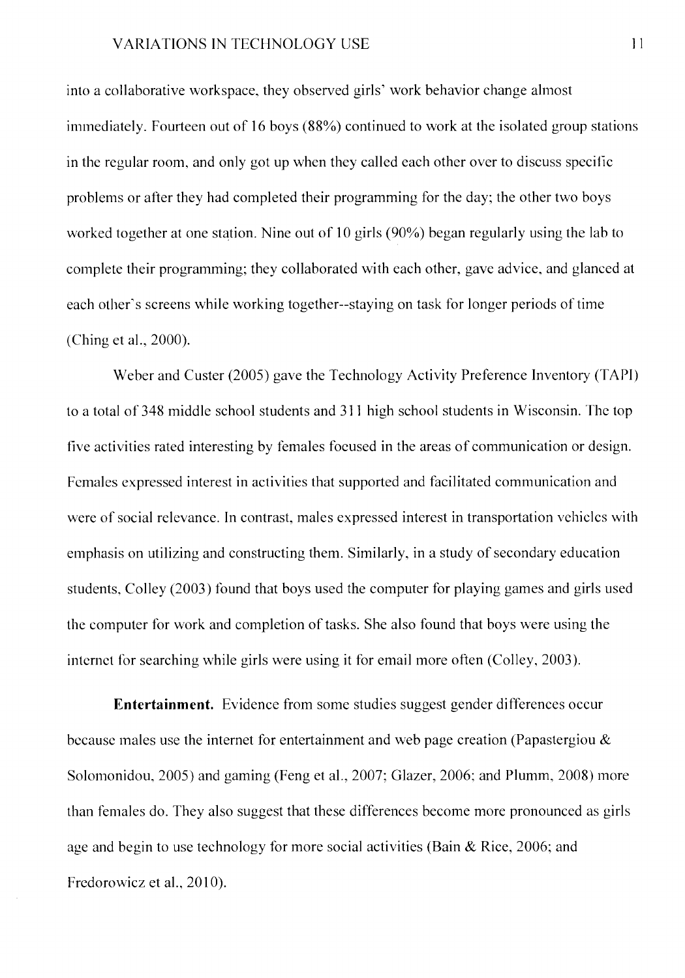into a collaborative workspace, they observed girls' work behavior change almost immediately. Fourteen out of 16 boys (88%) continued to work at the isolated group stations in the regular room, and only got up when they called each other over to discuss specific problems or after they had completed their programming for the day; the other two boys worked together at one station. Nine out of 10 girls (90%) began regularly using the lab to complete their programming; they collaborated with each other, gave advice, and glanced at each other's screens while working together--staying on task for longer periods of time (Ching et al., 2000).

Weber and Custer (2005) gave the Technology Activity Preference Inventory (TAPI) to a total of 348 middle school students and 311 high school students in Wisconsin. The top five activities rated interesting by females focused in the areas of communication or design. Females expressed interest in activities that supported and facilitated communication and were of social relevance. In contrast, males expressed interest in transportation vehicles with emphasis on utilizing and constructing them. Similarly, in a study of secondary education students, Colley (2003) found that boys used the computer for playing games and girls used the computer for work and completion of tasks. She also found that boys were using the internet for searching while girls were using it for email more often (Colley, 2003 ).

**Entertainment.** Evidence from some studies suggest gender differences occur because males use the internet for entertainment and web page creation (Papastergiou  $\&$ Solomonidou, 2005) and gaming (Feng et al., 2007; Glazer, 2006; and Plumm, 2008) more than females do. They also suggest that these differences become more pronounced as girls age and begin to use technology for more social activities (Bain  $\&$  Rice, 2006; and Fredorowicz et al., 2010).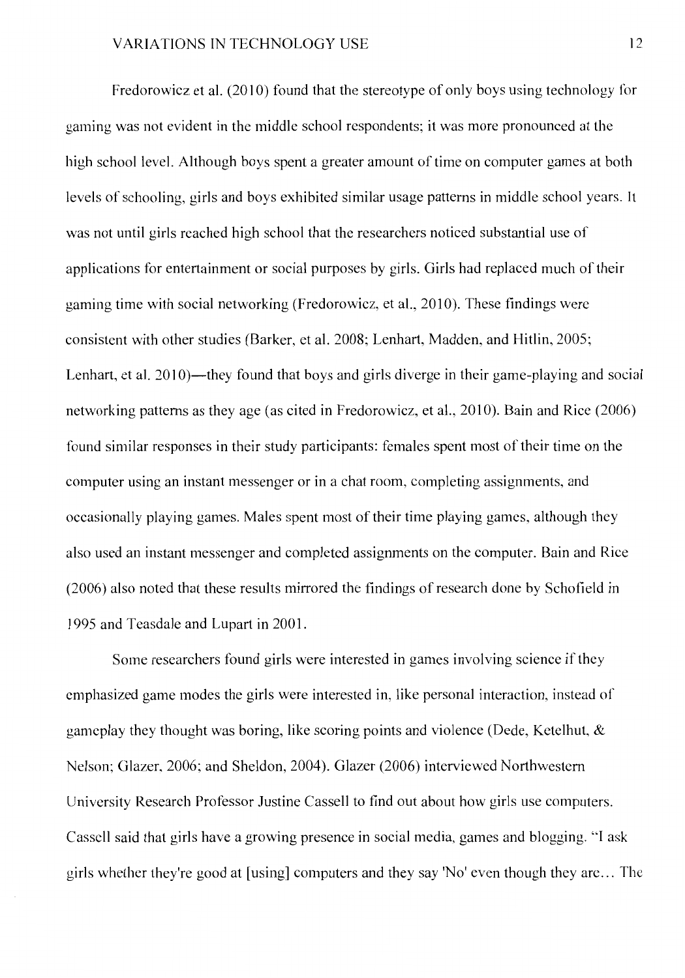Fredorowicz et al.  $(2010)$  found that the stereotype of only boys using technology for gaming was not evident in the middle school respondents; it was more pronounced at the high school level. Although boys spent a greater amount of time on computer games at both levels of schooling, girls and boys exhibited similar usage patterns in middle school years. It was not until girls reached high school that the researchers noticed substantial use of applications for entertainment or social purposes by girls. Girls had replaced much of their gaming time with social networking (Fredorowicz, et al., 2010). These findings were consistent with other studies (Barker, et al. 2008; Lenhart, Madden, and Hitlin, 2005; Lenhart, et al. 2010)—they found that boys and girls diverge in their game-playing and social networking patterns as they age (as cited in Fredorowicz, et al., 2010). Bain and Rice (2006) found similar responses in their study participants: females spent most of their time on the computer using an instant messenger or in a chat room, completing assignments, and occasionally playing games. Males spent most of their time playing games, although they also used an instant messenger and completed assignments on the computer. Bain and Rice (2006) also noted that these results mirrored the findings ofresearch done by Schofield in 1995 and Teasdale and Lupart in 2001.

Some researchers found girls were interested in games involving science if they emphasized game modes the girls were interested in, like personal interaction, instead of gameplay they thought was boring, like scoring points and violence (Dede, Ketelhut, & Nelson; Glazer, 2006; and Sheldon, 2004). Glazer (2006) interviewed Northwestern University Research Professor Justine Cassell to find out about how girls use computers. Cassell said that girls have a growing presence in social media, games and blogging. "l ask girls whether they're good at [using] computers and they say 'No' even though they arc ... The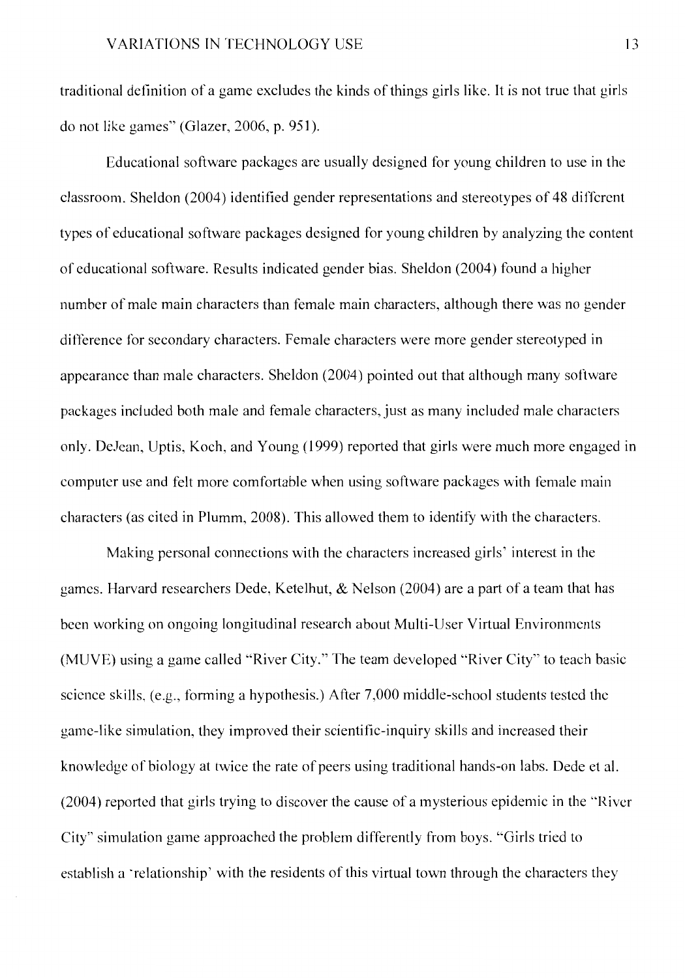traditional definition of a game excludes the kinds of things girls like. It is not true that girls do not like games" (Glazer, 2006, p. 951).

Educational software packages are usually designed for young children to use in the classroom. Sheldon (2004) identified gender representations and stereotypes of 48 different types of educational software packages designed for young children by analyzing the content of educational software. Results indicated gender bias. Sheldon (2004) found a higher number of male main characters than female main characters, although there was no gender difference for secondary characters. Female characters were more gender stereotyped in appearance than male characters. Sheldon (2004) pointed out that although many software packages included both male and female characters, just as many included male characters only. DeJean, Uptis, Koch, and Young (1999) reported that girls were much more engaged in computer use and felt more comfortable when using software packages with female main characters (as cited in Plumm, 2008). This allowed them to identify with the characters.

Making personal connections with the characters increased girls' interest in the games. Harvard researchers Dede, Ketelhut,  $\&$  Nelson (2004) are a part of a team that has been working on ongoing longitudinal research about Multi-User Virtual Environments (MUVE) using a game called "River City." The team developed "River City'' to teach basic science skills, (e.g., forming a hypothesis.) After 7,000 middle-school students tested the game-like simulation, they improved their scientific-inquiry skills and increased their knowledge of biology at twice the rate of peers using traditional hands-on labs. Dede et al. (2004) reported that girls trying to discover the cause of a mysterious epidemic in the "River City" simulation game approached the problem differently from boys. "Girls tried to establish a 'relationship' with the residents of this virtual town through the characters they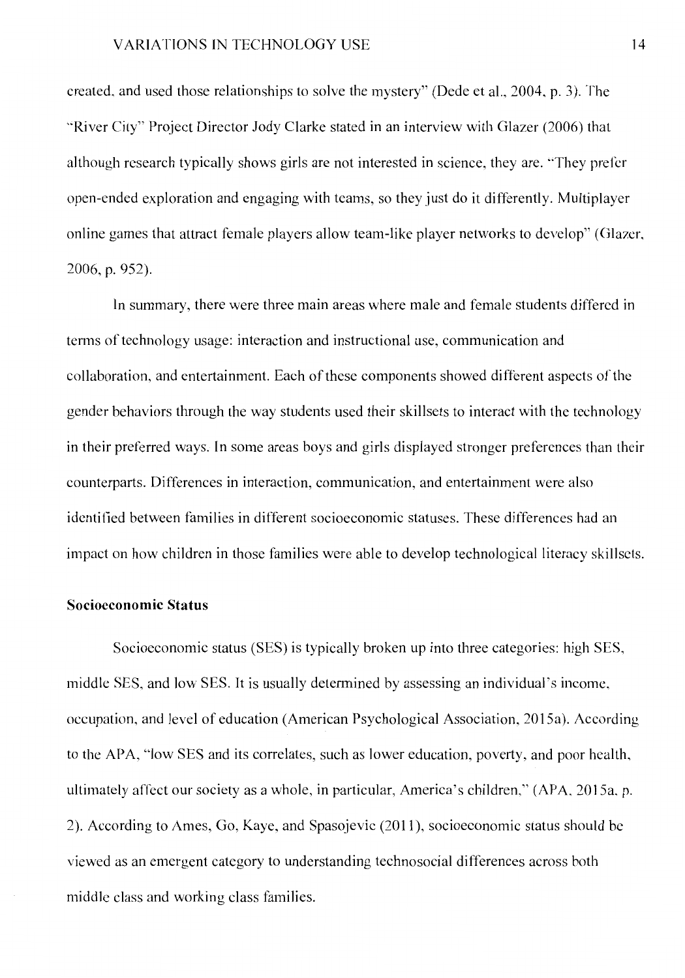created, and used those relationships to solve the mystery" (Dede et al., 2004, p. 3 ). The "River City" Project Director Jody Clarke stated in an interview with Glazer (2006) that although research typically shows girls are not interested in science, they are. "They prefer open-ended exploration and engaging with teams, so they just do it differently. Multiplayer online games that attract female players allow team-like player networks to develop" (Glazer, 2006, p. 952).

In summary, there were three main areas where male and female students differed in terms of technology usage: interaction and instructional use, communication and collaboration, and entertainment. Each of these components showed different aspects of the gender behaviors through the way students used their skillsets to interact with the technology in their preferred ways. In some areas boys and girls displayed stronger preferences than their counterparts. Differences in interaction, communication, and entertainment were also identified between families in different socioeconomic statuses. These differences had an impact on how children in those families were able to develop technological literacy skillsets.

#### **Socioeconomic Status**

Socioeconomic status (SES) is typically broken up into three categories: high SES, middle SES, and low SES. It is usually determined by assessing an individual's income, occupation, and level of education (American Psychological Association, 2015a). According to the APA, "low SES and its correlates, such as lower education, poverty, and poor health, ultimately affect our society as a whole, in particular, America's children," (APA, 2015a, p. 2). According to Ames, Go, Kaye, and Spasojevic (2011 ), socioeconomic status should be viewed as an emergent category to understanding technosocial differences across both middle class and working class families.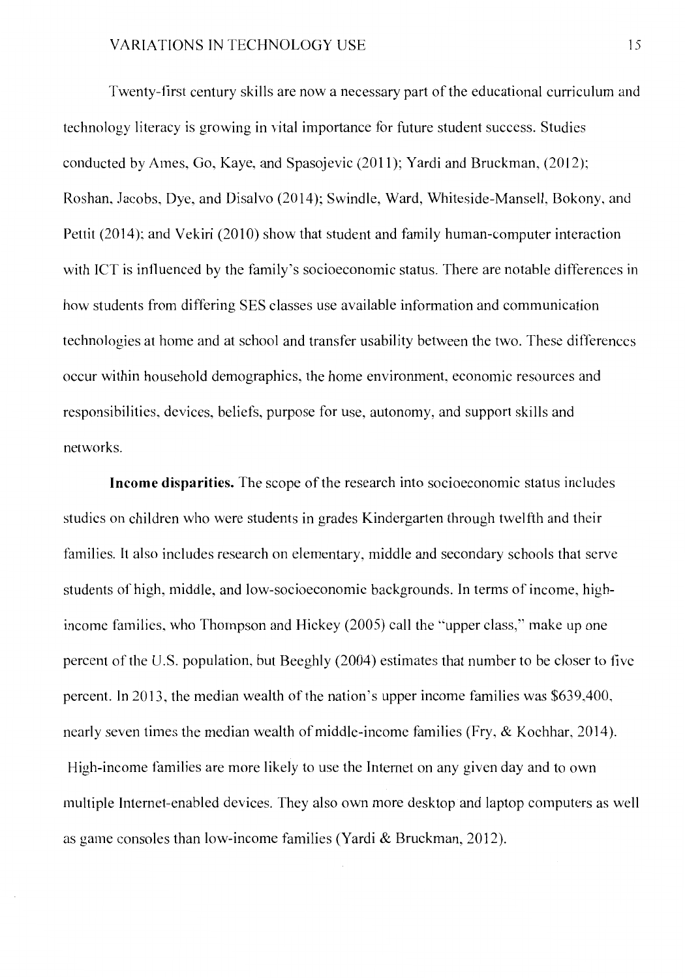Twenty-first century skills are now a necessary part of the educational curriculum and technology literacy is growing in vital importance for future student success. Studies conducted by Ames, Go, Kaye, and Spasojevic (2011); Yardi and Bruckman, (2012); Roshan, Jacobs, Dye, and Disalvo (2014); Swindle, Ward, Whiteside-Mansell, Bokony, and Pettit (2014); and Vekiri (2010) show that student and family human-computer interaction with ICT is influenced by the family's socioeconomic status. There are notable differences in how students from differing SES classes use available information and communication technologies at home and at school and transfer usability between the two. These differences occur within household demographics, the home environment, economic resources and responsibilities, devices, beliefs, purpose for use, autonomy, and support skills and networks.

**Income disparities.** The scope of the research into socioeconomic status includes studies on children who were students in grades Kindergarten through twelfth and their families. It also includes research on elementary, middle and secondary schools that serve students of high, middle, and low-socioeconomic backgrounds. In terms of income, highincome families, who Thompson and Hickey (2005) call the "upper class," make up one percent of the U.S. population, but Beeghly (2004) estimates that number to be closer to five percent. In 2013, the median wealth of the nation's upper income families was \$639,400, nearly seven times the median wealth of middle-income families (Fry, & Kochhar, 2014). High-income families are more likely to use the Internet on any given day and to own multiple Internet-enabled devices. They also own more desktop and laptop computers as well as game consoles than low-income families (Yardi & Bruckman, 2012).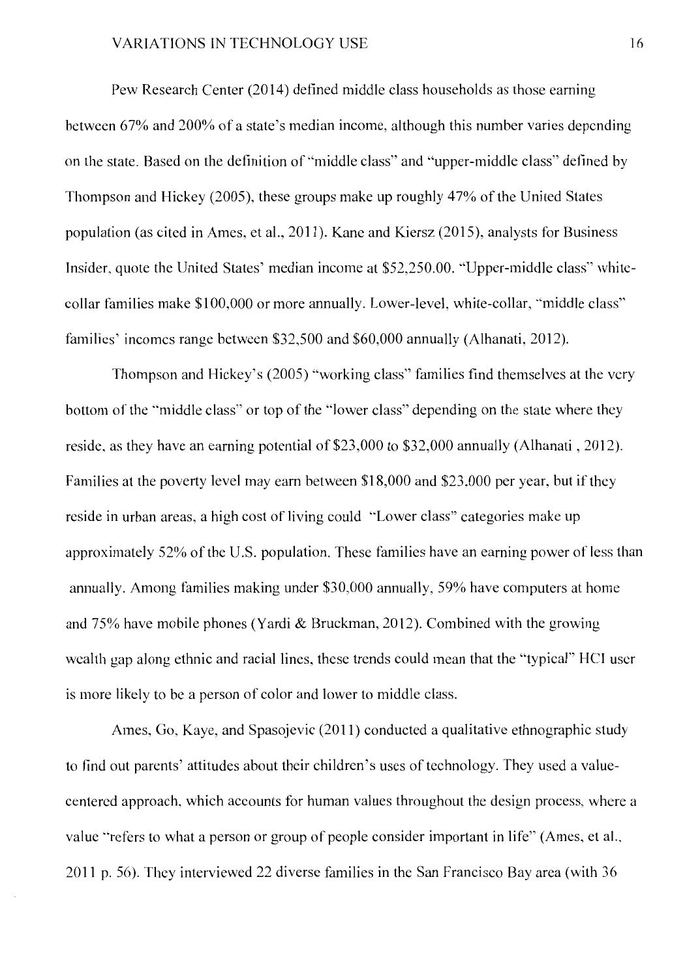Pew Research Center (2014) defined middle class households as those earning between 67% and 200% of a state's median income, although this number varies depending on the state. Based on the definition of "middle class" and "upper-middle class" defined by Thompson and Hickey (2005), these groups make up roughly 47% of the United States population ( as cited in Ames, et al., 2011 ). Kane and Kiersz (2015), analysts for Business Insider, quote the United States' median income at \$52,250.00. ·'Upper-middle class" whitecollar families make \$100,000 or more annually. Lower-level, white-collar, ·'middle class" families' incomes range between \$32,500 and \$60,000 annually (Alhanati, 2012).

Thompson and Hickey's (2005) ''working class" families find themselves at the very bottom of the "'middle class" or top of the "lower class" depending on the state where they reside, as they have an earning potential of \$23,000 to \$32,000 annually (Alhanati, 2012). Families at the poverty level may earn between \$18,000 and \$23,000 per year, but if they reside in urban areas, a high cost of living could "Lower class" categories make up approximately 52% of the U.S. population. These families have an earning power of less than annually. Among families making under \$30,000 annually, 59% have computers at home and 75% have mobile phones (Yardi & Bruckman, 2012). Combined with the growing wealth gap along ethnic and racial lines, these trends could mean that the "typical'' HCl user is more likely to be a person of color and lower to middle class.

Ames, Go, Kaye, and Spasojevic (2011) conducted a qualitative ethnographic study to find out parents' attitudes about their children's uses of technology. They used a valuecentered approach, which accounts for human values throughout the design process, where a value "refers to what a person or group of people consider important in life" (Ames, et al., 2011 p. 56). They interviewed 22 diverse families in the San Francisco Bay area (with 36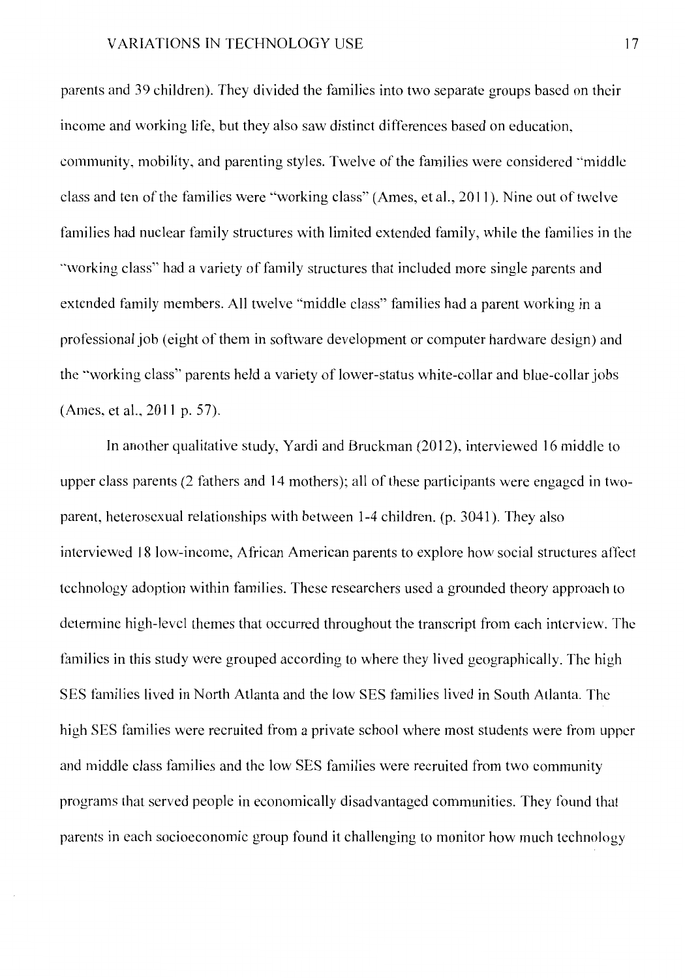parents and 39 children). They divided the families into two separate groups based on their income and working life, but they also saw distinct differences based on education, community, mobility, and parenting styles. Twelve of the families were considered ·'middle class and ten of the families were "working class" (Ames, et al., 2011). Nine out of twelve families had nuclear family structures with limited extended family, while the families in the "working class" had a variety of family structures that included more single parents and extended family members. All twelve "middle class" families had a parent working in a professional job (eight of them in software development or computer hardware design) and the "working class" parents held a variety of lower-status white-collar and blue-collar jobs (Ames, et al., 2011 p. 57).

In another qualitative study, Yardi and Bruckman (2012), interviewed 16 middle to upper class parents (2 fathers and 14 mothers); all of these participants were engaged in twoparent, heterosexual relationships with between 1-4 children. (p. 3041 ). They also interviewed 18 low-income, African American parents to explore how social structures affect technology adoption within families. These researchers used a grounded theory approach to determine high-level themes that occurred throughout the transcript from each interview. The families in this study were grouped according to where they lived geographically. The high SES families lived in North Atlanta and the low SES families lived in South Atlanta. The high SES families were recruited from a private school where most students were from upper and middle class families and the low SES families were recruited from two community programs that served people in economically disadvantaged communities. They found that parents in each socioeconomic group found it challenging to monitor how much technology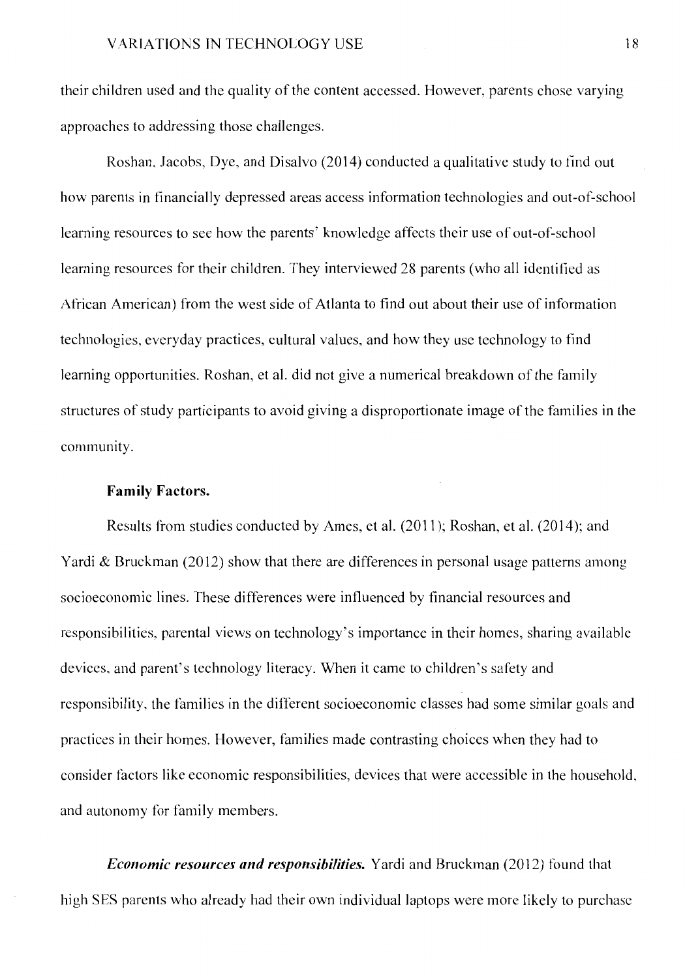their children used and the quality of the content accessed. However, parents chose varying approaches to addressing those challenges.

Roshan, Jacobs, Dye, and Disalvo (2014) conducted a qualitative study to find out how parents in financially depressed areas access information technologies and out-of-school learning resources to see how the parents' knowledge affects their use of out-of-school learning resources for their children. They interviewed 28 parents (who all identified as African American) from the west side of Atlanta to find out about their use of information technologies, everyday practices, cultural values, and how they use technology to find learning opportunities. Roshan, et al. did not give a numerical breakdown of the family structures of study participants to avoid giving a disproportionate image of the families in the community.

#### **Family Factors.**

Results from studies conducted by Ames, et al. (2011 ); Roshan, et al. (2014 ); and Yardi & Bruckman (2012) show that there are differences in personal usage patterns among socioeconomic lines. These differences were influenced by financial resources and responsibilities, parental views on technology's importance in their homes, sharing available devices, and parent's technology literacy. When it came to children's safety and responsibility, the families in the different socioeconomic classes had some similar goals and practices in their homes. However, families made contrasting choices when they had to consider factors like economic responsibilities, devices that were accessible in the household, and autonomy for family members.

*Economic resources and responsibilities.* Yardi and Bruckman (2012) found that high SES parents who already had their own individual laptops were more likely to purchase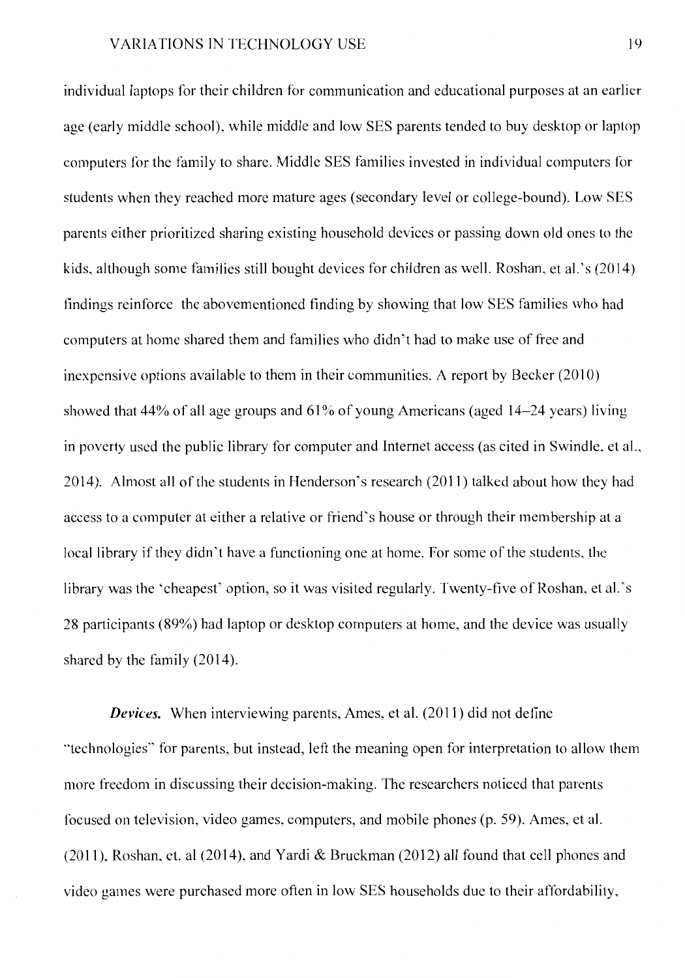individual laptops for their children for communication and educational purposes at an earlier age (early middle school), while middle and low SES parents tended to buy desktop or laptop computers for the family to share. Middle SES families invested in individual computers for students when they reached more mature ages (secondary level or college-bound). Low SES parents either prioritized sharing existing household devices or passing down old ones to the kids, although some families still bought devices for children as well. Roshan, et al.'s (2014) findings reinforce the abovementioned finding by showing that low SES families who had computers at home shared them and families who didn't had to make use of free and inexpensive options available to them in their communities. A report by Becker (2010) showed that  $44\%$  of all age groups and  $61\%$  of young Americans (aged  $14-24$  years) living in poverty used the public library for computer and Internet access (as cited in Swindle, et al., 2014). Almost all of the students in Henderson's research (2011) talked about how they had access to a computer at either a relative or friend's house or through their membership at a local library if they didn't have a functioning one at home. For some of the students, the library was the 'cheapest' option, so it was visited regularly. Twenty-five of Roshan, et al. 's 28 participants (89%) had laptop or desktop computers at home, and the device was usually shared by the family (2014).

*Devices.* When interviewing parents, Ames, et al. (2011) did not define "'technologies'' for parents, but instead, left the meaning open for interpretation to allow them more freedom in discussing their decision-making. The researchers noticed that parents focused on television, video games, computers, and mobile phones (p. 59). Ames, et al. (2011), Roshan, et. al (2014), and Yardi & Bruckman (2012) all found that cell phones and video games were purchased more often in low SES households due to their affordability,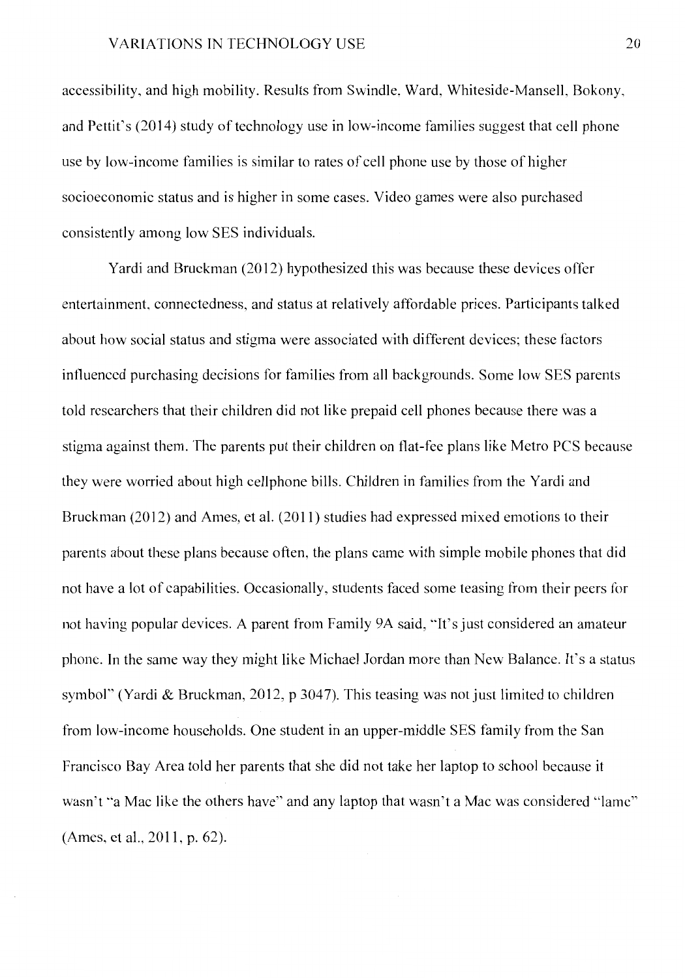accessibility, and high mobility. Results from Swindle, Ward, Whiteside-Mansell, Bokony, and Pettit's (2014) study of technology use in low-income families suggest that cell phone use by low-income families is similar to rates of cell phone use by those of higher socioeconomic status and is higher in some cases. Video games were also purchased consistently among low SES individuals.

Yardi and Bruckman (2012) hypothesized this was because these devices offer entertainment, connectedness, and status at relatively affordable prices. Participants talked about how social status and stigma were associated with different devices; these factors influenced purchasing decisions for families from all backgrounds. Some low SES parents told researchers that their children did not like prepaid cell phones because there was a stigma against them. The parents put their children on flat-fee plans like Metro PCS because they were worried about high cellphone bills. Children in families from the Yardi and Bruckman (2012) and Ames, et al. (2011) studies had expressed mixed emotions to their parents about these plans because often, the plans came with simple mobile phones that did not have a lot of capabilities. Occasionally, students faced some teasing from their peers for not having popular devices. A parent from Family 9A said, ""It's just considered an amateur phone. In the same way they might like Michael Jordan more than New Balance. It's a status symbol" (Yardi & Bruckman, 2012, p 3047). This teasing was not just limited to children from low-income households. One student in an upper-middle SES family from the San Francisco Bay Area told her parents that she did not take her laptop to school because it wasn't "a Mac like the others have" and any laptop that wasn't a Mac was considered "lame" (Ames, et al., 2011, p. 62).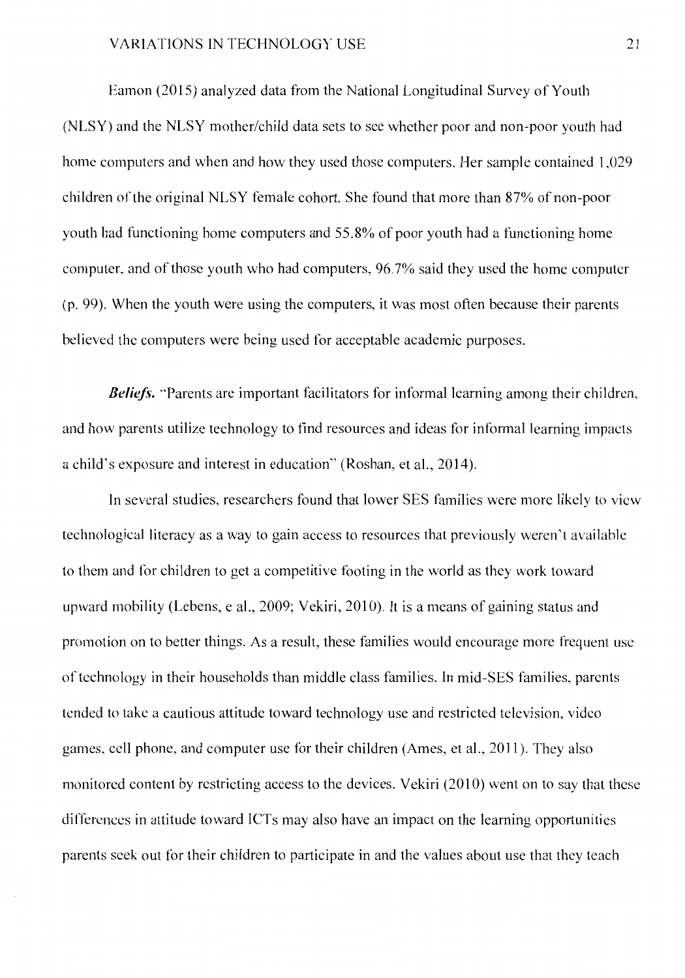Eamon (2015) analyzed data from the National Longitudinal Survey of Youth (NLSY) and the NLSY mother/child data sets to see whether poor and non-poor youth had home computers and when and how they used those computers. Her sample contained 1,029 children of the original NLSY female cohort. She found that more than 87% of non-poor youth had functioning home computers and 55.8% of poor youth had a functioning home computer, and of those youth who had computers, 96. 7% said they used the home computer (p. 99). When the youth were using the computers, it was most often because their parents believed the computers were being used for acceptable academic purposes.

**Beliefs.** "Parents are important facilitators for informal learning among their children, and how parents utilize technology to find resources and ideas for informal learning impacts a child's exposure and interest in education" (Roshan, et al., 2014).

In several studies, researchers found that lower SES families were more likely to view technological literacy as a way to gain access to resources that previously weren't available to them and for children to get a competitive footing in the world as they work toward upward mobility (Lebens, e al., 2009; Vekiri, 2010). It is a means of gaining status and promotion on to better things. As a result, these families would encourage more frequent use of technology in their households than middle class families. In mid-SES families, parents tended to take a cautious attitude toward technology use and restricted television, video games, cell phone, and computer use for their children (Ames, et al., 2011). They also monitored content by restricting access to the devices. Vekiri (2010) went on to say that these differences in attitude toward ICTs may also have an impact on the learning opportunities parents seek out for their children to participate in and the values about use that they teach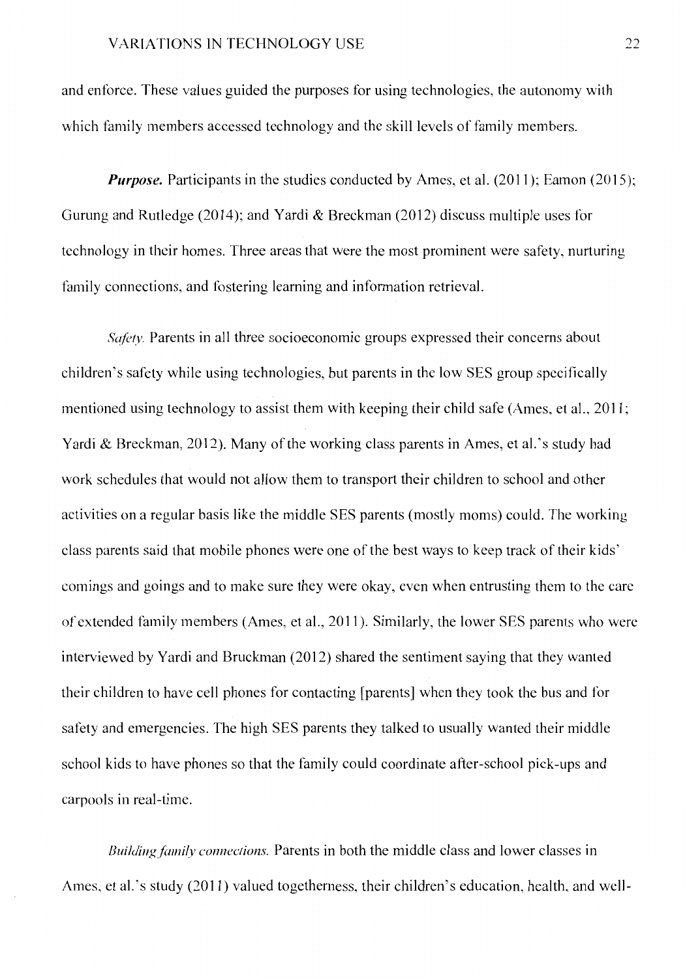and enforce. These values guided the purposes for using technologies, the autonomy with which family members accessed technology and the skill levels of family members.

*Purpose.* Participants in the studies conducted by Ames, et al. (2011); Eamon (2015); Gurung and Rutledge (2014); and Yardi & Breckman (2012) discuss multiple uses for technology in their homes. Three areas that were the most prominent were safety, nurturing family connections, and fostering learning and information retrieval.

*Safety*. Parents in all three socioeconomic groups expressed their concerns about children's safety while using technologies, but parents in the low SES group specifically mentioned using technology to assist them with keeping their child safe (Ames, et al., 2011; Yardi & Breckman, 2012). Many of the working class parents in Ames, et al. 's study had work schedules that would not allow them to transport their children to school and other activities on a regular basis like the middle SES parents (mostly moms) could. The working class parents said that mobile phones were one of the best ways to keep track of their kids' comings and goings and to make sure they were okay, even when entrusting them to the care of extended family members (Ames, et al., 2011 ). Similarly, the lower SES parents who were interviewed by Yardi and Bruckman (2012) shared the sentiment saying that they wanted their children to have cell phones for contacting [parents] when they took the bus and for safety and emergencies. The high SES parents they talked to usually wanted their middle school kids to have phones so that the family could coordinate after-school pick-ups and carpools in real-time.

*Building family connections.* Parents in both the middle class and lower classes in Ames, et al.'s study (2011) valued togetherness, their children's education, health, and well-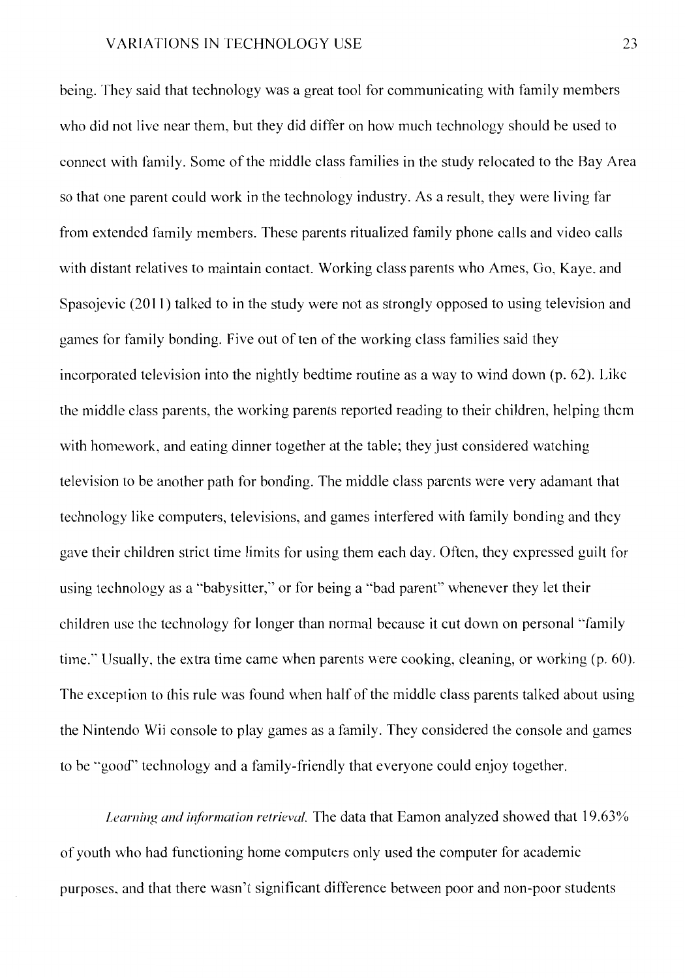being. They said that technology was a great tool for communicating with family members who did not live near them, but they did differ on how much technology should be used to connect with family. Some of the middle class families in the study relocated to the Bay Area so that one parent could work in the technology industry. As a result, they were living far from extended family members. These parents ritualized family phone calls and video calls with distant relatives to maintain contact. Working class parents who Ames, Go, Kaye, and Spasojevic (2011) talked to in the study were not as strongly opposed to using television and games for family bonding. Five out of ten of the working class families said they incorporated television into the nightly bedtime routine as a way to wind down (p. 62). Like the middle class parents, the working parents reported reading to their children, helping them with homework, and eating dinner together at the table; they just considered watching television to be another path for bonding. The middle class parents were very adamant that technology like computers, televisions, and games interfered with family bonding and they gave their children strict time limits for using them each day. Otten, they expressed guilt for using technology as a "babysitter," or for being a "bad parent" whenever they let their children use the technology for longer than normal because it cut down on personal "family time." Usually, the extra time came when parents were cooking, cleaning, or working (p. 60). The exception to this rule was found when half of the middle class parents talked about using the Nintendo Wii console to play games as a family. They considered the console and games to be "good" technology and a family-friendly that everyone could enjoy together.

*Learning and information retrieval.* The data that Eamon analyzed showed that 19.63% of youth who had functioning home computers only used the computer for academic purposes, and that there wasn't significant difference between poor and non-poor students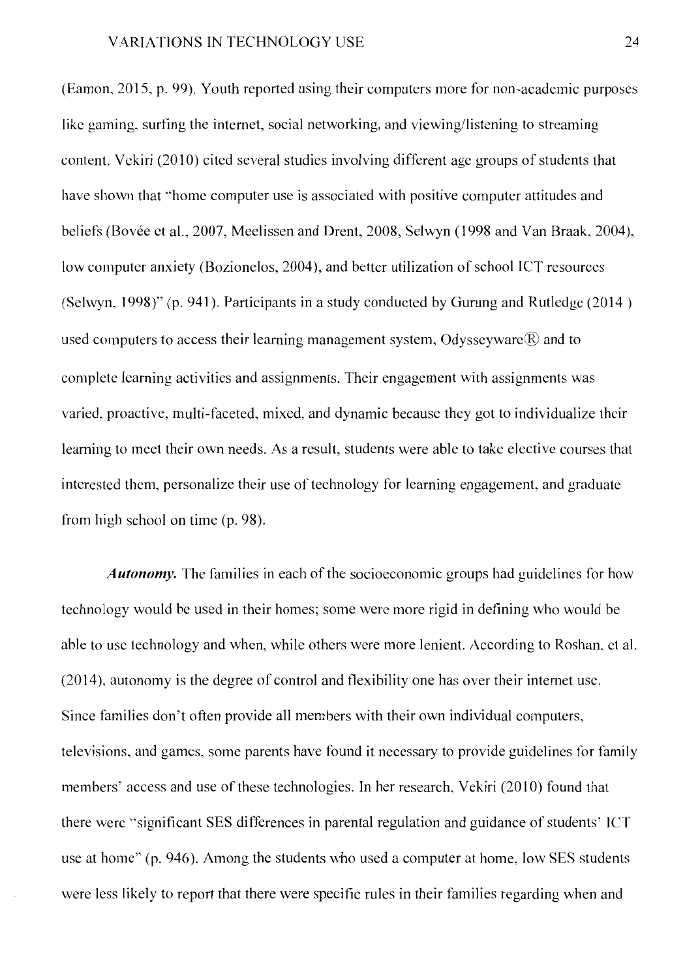(Eamon, 2015, p. 99). Youth reported using their computers more for non-academic purposes like gaming, surfing the internet, social networking, and viewing/listening to streaming content. Vekiri (2010) cited several studies involving different age groups of students that have shown that "home computer use is associated with positive computer attitudes and beliefs (Bovée et al., 2007, Meelissen and Drent, 2008, Selwyn (1998 and Van Braak, 2004), low computer anxiety (Bozionelos, 2004), and better utilization of school ICT resources (Selwyn, 1998)" (p. 941 ). Participants in a study conducted by Gurung and Rutledge (2014 ) used computers to access their learning management system, Odysseyware $\circledR$  and to complete learning activities and assignments. Their engagement with assignments was varied, proactive, multi-faceted, mixed, and dynamic because they got to individualize their learning to meet their own needs. As a result, students were able to take elective courses that interested them, personalize their use of technology for learning engagement, and graduate from high school on time (p. 98).

*Autonomy.* The families in each of the socioeconomic groups had guidelines for how technology would be used in their homes; some were more rigid in defining who would be able to use technology and when, while others were more lenient. According to Roshan, ct al. (2014 ), autonomy is the degree of control and flexibility one has over their internet use. Since families don't often provide all members with their own individual computers, televisions, and games, some parents have found it necessary to provide guidelines for family members' access and use of these technologies. In her research, Vekiri (2010) found that there were ·'significant SES differences in parental regulation and guidance of students' JCT use at home" (p. 946). Among the students who used a computer at home, low SES students were less likely to report that there were specific rules in their families regarding when and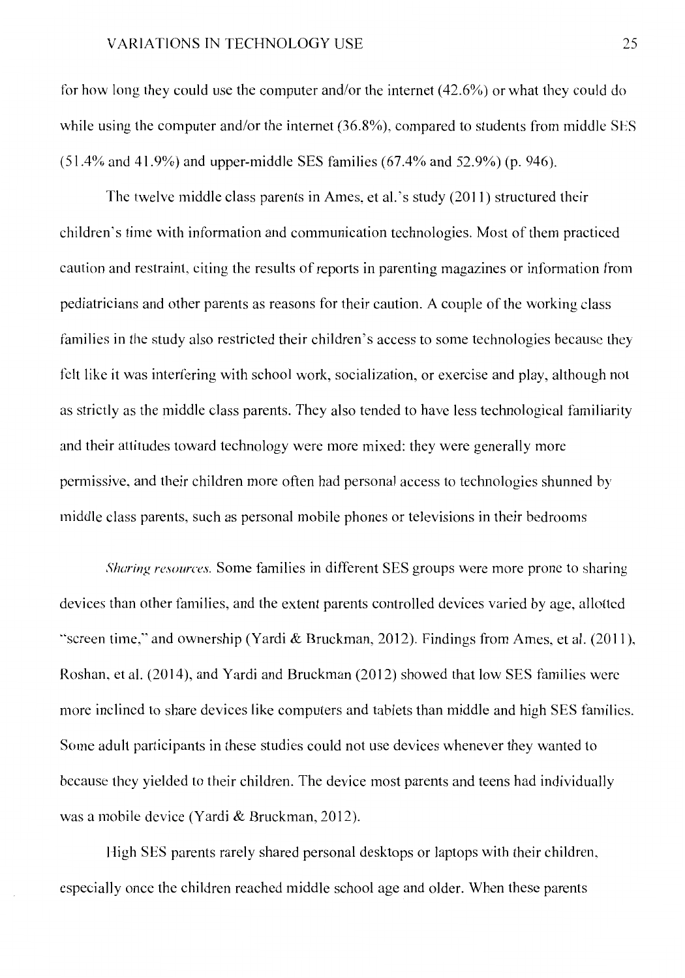for how long they could use the computer and/or the internet (42.6%) or what they could do while using the computer and/or the internet (36.8%), compared to students from middle SES (51.4% and 41.9%) and upper-middle SES families (67.4% and 52.9%) (p. 946).

The twelve middle class parents in Ames, et al.'s study (2011) structured their children's time with information and communication technologies. Most of them practiced caution and restraint, citing the results of reports in parenting magazines or infomrntion from pediatricians and other parents as reasons for their caution. A couple of the working class families in the study also restricted their children's access to some technologies because they felt like it was interfering with school work, socialization, or exercise and play, although not as strictly as the middle class parents. They also tended to have less technological familiarity and their attitudes toward technology were more mixed: they were generally more permissive, and their children more often had personal access to technologies shunned by middle class parents, such as personal mobile phones or televisions in their bedrooms

*Sharing resources.* Some families in different SES groups were more prone to sharing devices than other families, and the extent parents controlled devices varied by age, allotted "screen time," and ownership (Yardi & Bruckman, 2012). Findings from Ames, et al. (2011), Roshan, et al. (2014), and Yardi and Bruckman (2012) showed that low SES families were more inclined to share devices like computers and tablets than middle and high SES families. Some adult participants in these studies could not use devices whenever they wanted to because they yielded to their children. The device most parents and teens had individually was a mobile device (Yardi & Bruckman, 2012).

High SES parents rarely shared personal desktops or laptops with their children, especially once the children reached middle school age and older. When these parents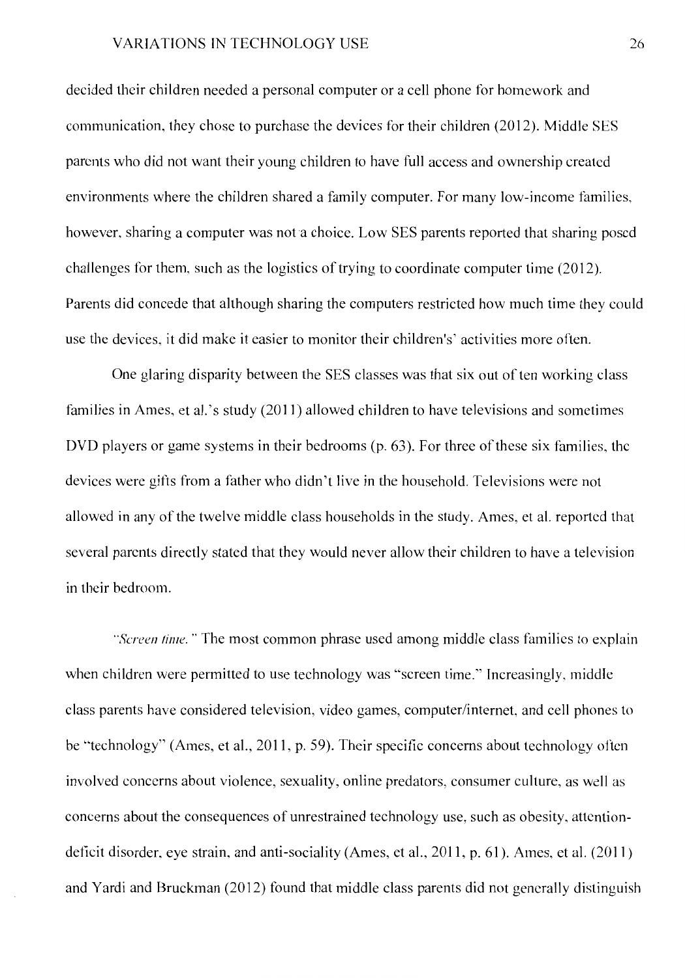decided their children needed a personal computer or a cell phone for homework and communication, they chose to purchase the devices for their children (2012). Middle SES parents who did not want their young children to have full access and ownership created environments where the children shared a family computer. For many low-income families, however, sharing a computer was not a choice. Low SES parents reported that sharing posed challenges for them, such as the logistics of trying to coordinate computer time (2012 ). Parents did concede that although sharing the computers restricted how much time they could use the devices, it did make it easier to monitor their children's' activities more often.

One glaring disparity between the SES classes was that six out of ten working class families in Ames, et al.'s study (2011) allowed children to have televisions and sometimes DVD players or game systems in their bedrooms (p. 63). For three of these six families, the devices were gifts from a father who didn't live in the household. Televisions were not allowed in any of the twelve middle class households in the study. Ames, et al. reported that several parents directly stated that they would never allow their children to have a television in their bedroom.

*"Screen lime.* " The most common phrase used among middle class families to explain when children were permitted to use technology was "screen time." Increasingly, middle class parents have considered television, video games, computer/internet, and cell phones to be "technology" (Ames, et al., 2011, p. 59). Their specific concerns about technology often involved concerns about violence, sexuality, online predators, consumer culture, as well as concerns about the consequences of unrestrained technology use, such as obesity, attentiondeficit disorder, eye strain, and anti-sociality (Ames, et al., 2011, p. 61 ). Ames, et al. (2011) and Yardi and Bruckman (2012) found that middle class parents did not generally distinguish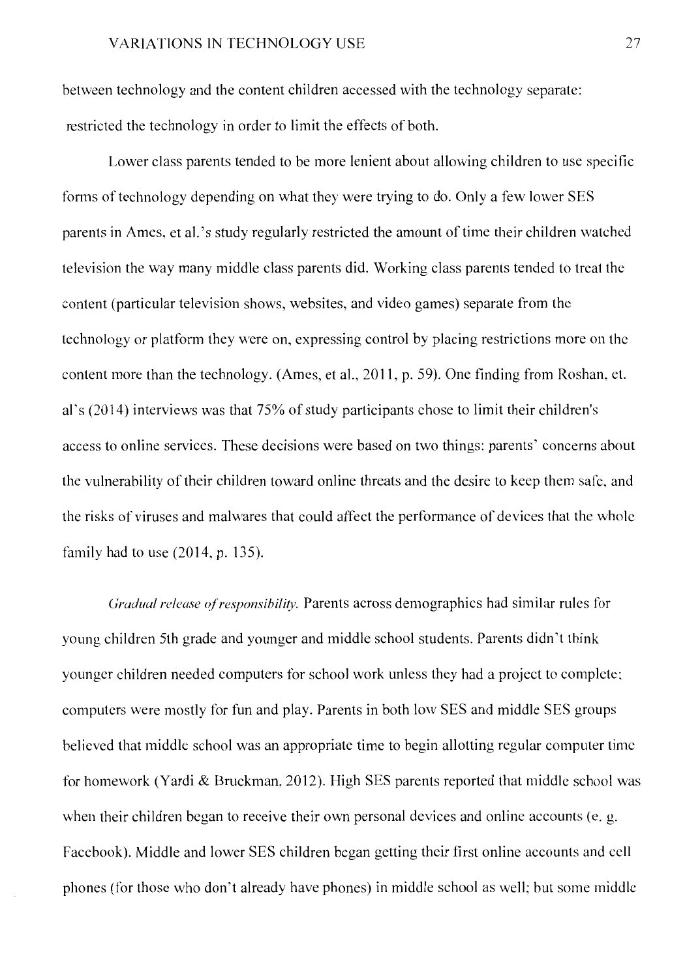between technology and the content children accessed with the technology separate: restricted the technology in order to limit the effects of both.

Lower class parents tended to be more lenient about allowing children to use specific fonns of technology depending on what they were trying to do. Only a few lower SES parents in Ames, et al. 's study regularly restricted the amount of time their children watched television the way many middle class parents did. Working class parents tended to treat the content (particular television shows, websites, and video games) separate from the technology or platform they were on, expressing control by placing restrictions more on the content more than the technology. (Ames, et al., 2011, p. 59). One finding from Roshan, et. al' s (2014) interviews was that 75% of study participants chose to limit their children's access to online services. These decisions were based on two things: parents' concerns about the vulnerability of their children toward online threats and the desire to keep them safe, and the risks of viruses and malwares that could affect the performance of devices that the whole family had to use (2014, p. 135).

*Gradual release cf responsibility.* Parents across demographics had similar rules for young children 5th grade and younger and middle school students. Parents didn't think younger children needed computers for school work unless they had a project to complete; computers were mostly for fun and play. Parents in both low SES and middle SES groups believed that middle school was an appropriate time to begin allotting regular computer time for homework (Yardi & Bruckman, 2012). High SES parents reported that middle school was when their children began to receive their own personal devices and online accounts (e. g. Facebook). Middle and lower SES children began getting their first online accounts and cell phones (for those who don't already have phones) in middle school as well; but some middle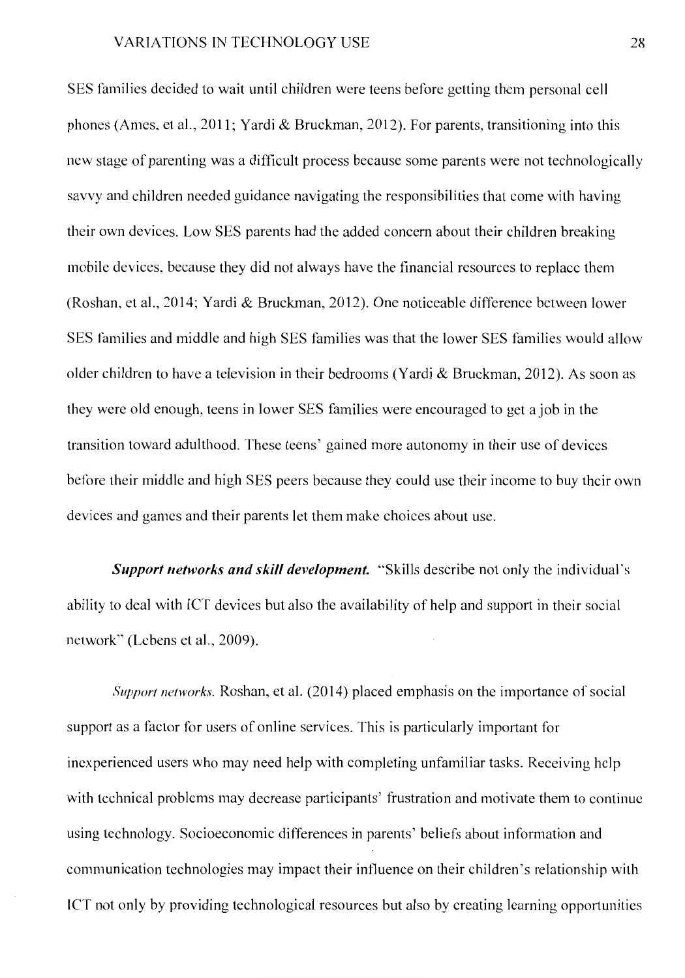SES families decided to wait until children were teens before getting them personal cell phones (Ames, et al., 2011; Yardi & Bruckman, 2012). For parents, transitioning into this new stage of parenting was a difficult process because some parents were not technologically savvy and children needed guidance navigating the responsibilities that come with having their own devices. Low SES parents had the added concern about their children breaking mobile devices, because they did not always have the financial resources to replace them (Roshan, et al., 2014; Yardi & Bruckman, 2012). One noticeable difference between lower SES families and middle and high SES families was that the lower SES families would allow older children to have a television in their bedrooms (Yardi & Bruckman, 2012). As soon as they were old enough, teens in lower SES families were encouraged to get a job in the transition toward adulthood. These teens' gained more autonomy in their use of devices before their middle and high SES peers because they could use their income to buy their own devices and games and their parents let them make choices about use.

*Support networks and skill development.* "Skills describe not only the individual's ability to deal with ICT devices but also the availability of help and support in their social network" (Lebens et al., 2009).

*Support networks.* Roshan, et al. (2014) placed emphasis on the importance of social support as a factor for users of online services. This is particularly important for inexperienced users who may need help with completing unfamiliar tasks. Receiving help with technical problems may decrease participants' frustration and motivate them to continue using technology. Socioeconomic differences in parents' beliefs about information and communication technologies may impact their influence on their children's relationship with JCT not only by providing technological resources but also by creating learning opportunities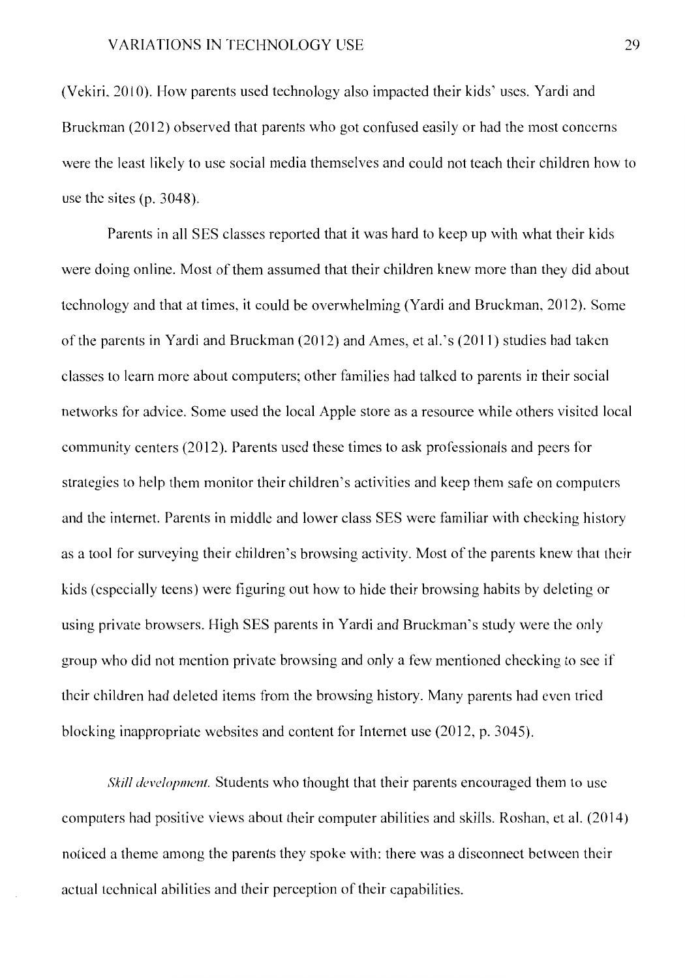(Vekiri, 2010). How parents used technology also impacted their kids' uses. Yardi and Bruckman (2012) observed that parents who got confused easily or had the most concerns were the least likely to use social media themselves and could not teach their children how to use the sites (p. 3048).

Parents in all SES classes reported that it was hard to keep up with what their kids were doing online. Most of them assumed that their children knew more than they did about technology and that at times, it could be overwhelming (Yardi and Bruckman, 2012). Some of the parents in Yardi and Bruckman (2012) and Ames, et al.' s (2011) studies had taken classes to learn more about computers; other families had talked to parents in their social networks for advice. Some used the local Apple store as a resource while others visited local community centers (2012). Parents used these times to ask professionals and peers for strategies to help them monitor their children's activities and keep them safe on computers and the internet. Parents in middle and lower class SES were familiar with checking history as a tool for surveying their children's browsing activity. Most of the parents knew that their kids ( especially teens) were figuring out how to hide their browsing habits by deleting or using private browsers. High SES parents in Yardi and Bruckman's study were the only group who did not mention private browsing and only a few mentioned checking to see if their children had deleted items from the browsing history. Many parents had even tried blocking inappropriate websites and content for Internet use (2012, p. 3045).

*Skill development.* Students who thought that their parents encouraged them to use computers had positive views about their computer abilities and skills. Roshan, et al. (2014) noticed a theme among the parents they spoke with: there was a disconnect between their actual technical abilities and their perception of their capabilities.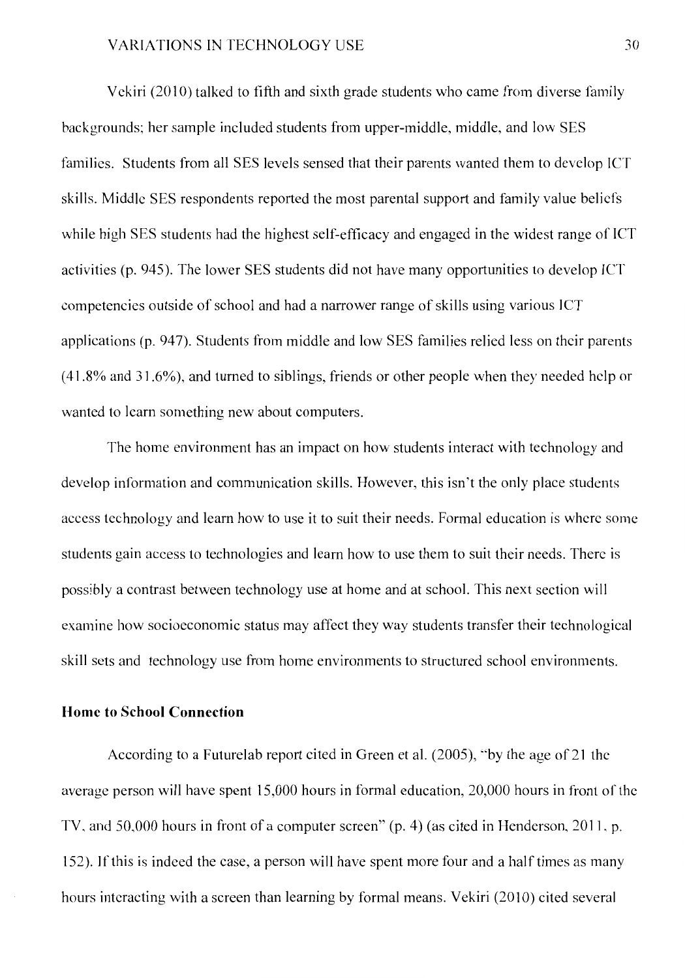Vckiri (2010) talked to fifth and sixth grade students who came from diverse family backgrounds; her sample included students from upper-middle, middle, and low SES families. Students from all SES levels sensed that their parents wanted them to develop JCT skills. Middle SES respondents reported the most parental support and family value beliefs while high SES students had the highest self-efficacy and engaged in the widest range of JCT activities (p. 945). The lower SES students did not have many opportunities to develop JCT competencies outside of school and had a narrower range of skills using various JCT applications (p. 947). Students from middle and low SES families relied less on their parents ( 41.8% and 31.6% ), and turned to siblings, friends or other people when they needed help or wanted to learn something new about computers.

The home environment has an impact on how students interact with technology and develop information and communication skills. However, this isn't the only place students access technology and learn how to use it to suit their needs. Formal education is where some students gain access to technologies and learn how to use them to suit their needs. There is possibly a contrast between technology use at home and at school. This next section will examine how socioeconomic status may affect they way students transfer their technological skill sets and technology use from home environments to structured school environments.

#### **Home to School Connection**

According to a Futurelab report cited in Green et al. (2005), ""by the age of 21 the average person will have spent 15,000 hours in formal education, 20,000 hours in front of the TV, and 50,000 hours in front of a computer screen" (p. 4) (as cited in Henderson, 2011, p. 152). If this is indeed the case, a person will have spent more four and a half times as many hours interacting with a screen than learning by formal means. Vekiri (2010) cited several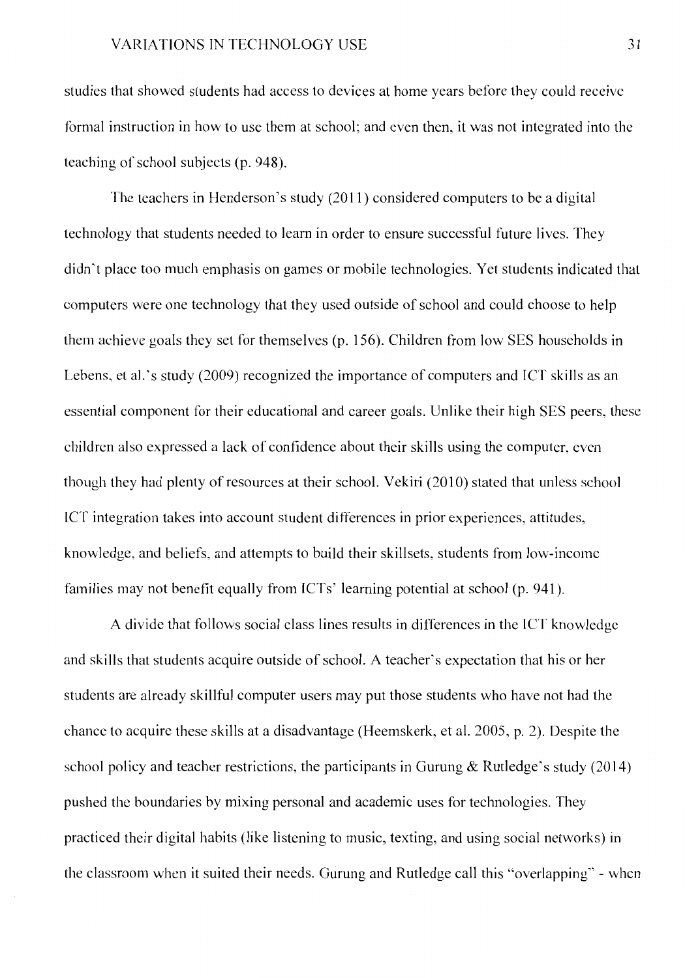studies that showed students had access to devices at home years before they could receive formal instruction in how to use them at school; and even then, it was not integrated into the teaching of school subjects (p. 948).

The teachers in Henderson's study  $(2011)$  considered computers to be a digital technology that students needed to learn in order to ensure successful future lives. They didn't place too much emphasis on games or mobile technologies. Yet students indicated that computers were one technology that they used outside of school and could choose to help them achieve goals they set for themselves (p. 156). Children from low SES households in Lehens, et al. 's study (2009) recognized the importance of computers and JCT skills as an essential component for their educational and career goals. Unlike their high SES peers, these children also expressed a lack of confidence about their skills using the computer, even though they had plenty of resources at their school. Vekiri (2010) stated that unless school JCT integration takes into account student differences in prior experiences, attitudes, knowledge, and beliefs, and attempts to build their skillsets, students from low-income families may not benefit equally from ICTs' learning potential at school (p. 941).

A divide that follows social class lines results in differences in the JCT knowledge and skills that students acquire outside of school. A teacher"s expectation that his or her students are already skillful computer users may put those students who have not had the chance to acquire these skills at a disadvantage (Heemskerk, et al. 2005, p. 2). Despite the school policy and teacher restrictions, the participants in Gurung & Rutledge's study (2014) pushed the boundaries by mixing personal and academic uses for technologies. They practiced their digital habits (like listening to music, texting, and using social networks) in the classroom when it suited their needs. Gurung and Rutledge call this "overlapping" - when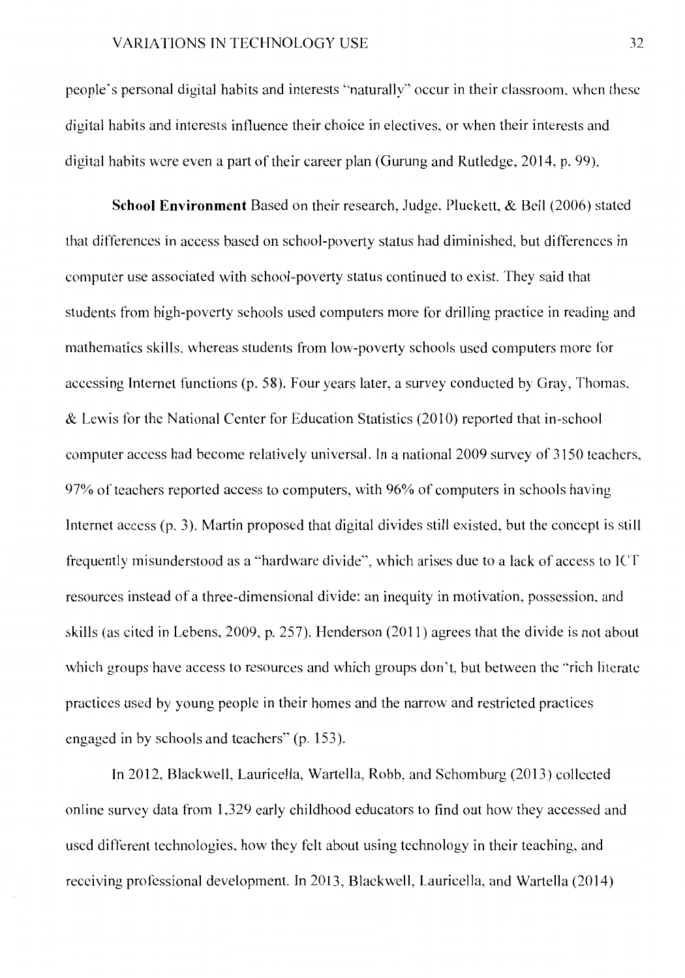people· s personal digital habits and interests "naturally" occur in their classroom, when these digital habits and interests influence their choice in electives, or when their interests and digital habits were even a part of their career plan (Gurung and Rutledge, 2014, p. 99).

**School Environment** Based on their research, Judge, Pluckett, & Bell (2006) stated that differences in access based on school-poverty status had diminished, but differences in computer use associated with school-poverty status continued to exist. They said that students from high-poverty schools used computers more for drilling practice in reading and mathematics skills, whereas students from low-poverty schools used computers more for accessing Internet functions (p. 58). Four years later, a survey conducted by Gray, Thomas, & Lewis for the National Center for Education Statistics (2010) reported that in-school computer access had become relatively universal. In a national 2009 survey of 3150 teachers, 97% of teachers reported access to computers, with 96% of computers in schools having Internet access (p. 3). Martin proposed that digital divides still existed, but the concept is still frequently misunderstood as a "hardware divide'', which arises due to a lack of access to lCT resources instead of a three-dimensional divide: an inequity in motivation, possession, and skills (as cited in Lebens, 2009, p. 257). Henderson (2011) agrees that the divide is not about which groups have access to resources and which groups don't, but between the "rich literate" practices used by young people in their homes and the narrow and restricted practices engaged in by schools and teachers" (p. 153).

In 2012, Blackwell, Lauricella, Wartella, Robb, and Schomburg (2013) collected on line survey data from 1,329 early childhood educators to find out how they accessed and used different technologies, how they felt about using technology in their teaching, and receiving professional development. In 2013, Blackwell, Lauricella, and Wartella (2014)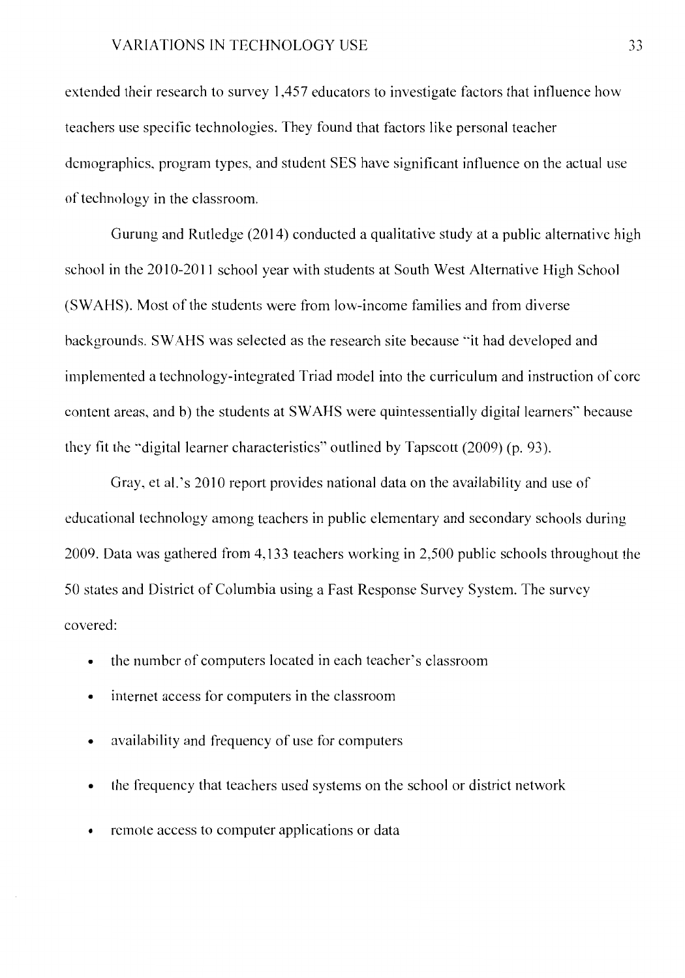extended their research to survey 1,457 educators to investigate factors that influence how teachers use specific technologies. They found that factors like personal teacher demographics, program types, and student SES have significant influence on the actual use of technology in the classroom.

Gurung and Rutledge (2014) conducted a qualitative study at a public alternative high school in the 2010-2011 school year with students at South West Alternative High School (SWAHS). Most of the students were from low-income families and from diverse backgrounds. SWAHS was selected as the research site because "it had developed and implemented a technology-integrated Triad model into the curriculum and instruction of core content areas, and b) the students at SWAHS were quintessentially digital learners" because they fit the ·•digital learner characteristics" outlined by Tapscott (2009) (p. 93).

Gray, et al. 's 2010 report provides national data on the availability and use of educational technology among teachers in public elementary and secondary schools during 2009. Data was gathered from 4,133 teachers working in 2,500 public schools throughout the 50 states and District of Columbia using a Fast Response Survey System. The survey covered:

- the number of computers located in each teacher's classroom
- internet access for computers in the classroom
- availability and frequency of use for computers
- the frequency that teachers used systems on the school or district network
- remote access to computer applications or data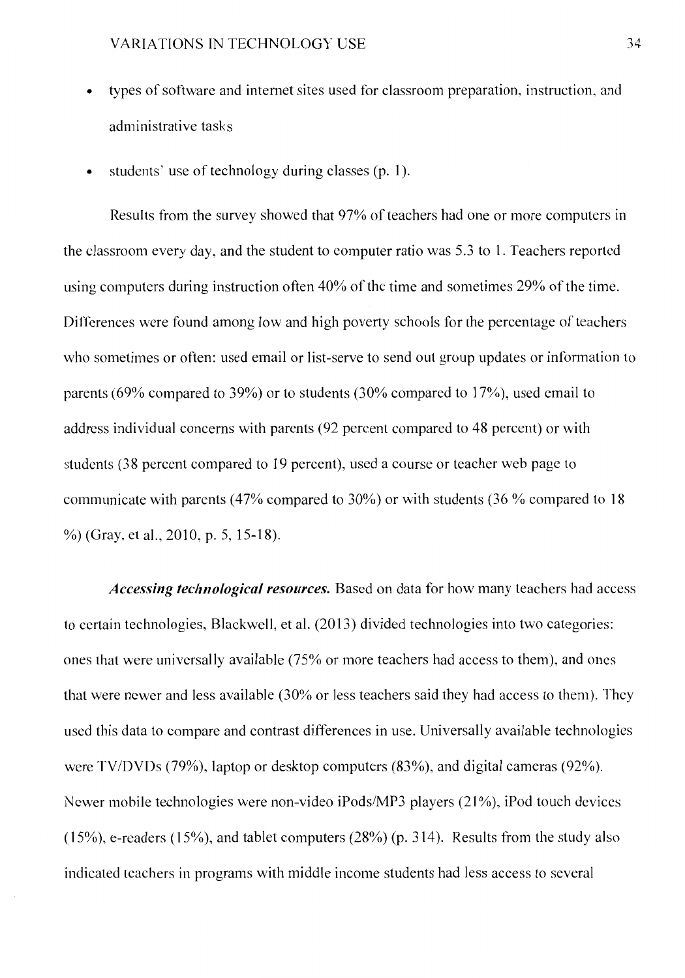- types of software and internet sites used for classroom preparation, instruction, and administrative tasks
- students' use of technology during classes (p. 1).

Results from the survey showed that 97% of teachers had one or more computers in the classroom every day, and the student to computer ratio was 5.3 to 1. Teachers reported using computers during instruction often 40% of the time and sometimes 29% of the time. Differences were found among low and high poverty schools for the percentage of teachers who sometimes or often: used email or list-serve to send out group updates or information to parents (69% compared to 39%) or to students (30% compared to 17%), used email to address individual concerns with parents (92 percent compared to 48 percent) or with students (38 percent compared to 19 percent), used a course or teacher web page to communicate with parents (47% compared to 30%) or with students (36 % compared to 18 %) (Gray, et al., 2010, p. 5, 15-18).

*Accessing technological resources.* Based on data for how many teachers had access to certain technologies, Blackwell, et al. (2013) divided technologies into two categories: ones that were universally available (75% or more teachers had access to them), and ones that were newer and less available (30% or less teachers said they had access to them). They used this data to compare and contrast differences in use. Universally available technologies were TV/DVDs (79%), laptop or desktop computers (83%), and digital cameras (92%). Newer mobile technologies were non-video iPods/MP3 players (21%), iPod touch devices  $(15\%)$ , e-readers  $(15\%)$ , and tablet computers  $(28\%)$  (p. 314). Results from the study also indicated teachers in programs with middle income students had less access to several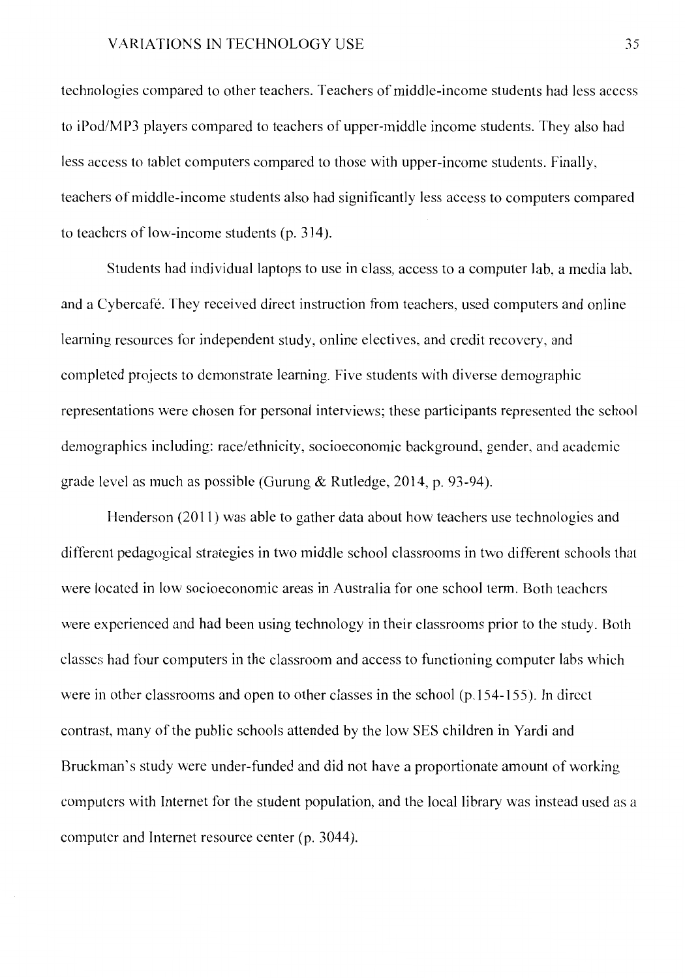technologies compared to other teachers. Teachers of middle-income students had less access to iPod/MP3 players compared to teachers of upper-middle income students. They also had less access to tablet computers compared to those with upper-income students. Finally, teachers of middle-income students also had significantly less access to computers compared to teachers of low-income students (p. 314).

Students had individual laptops to use in class, access to a computer lab, a media lab. and a Cybercafé. They received direct instruction from teachers, used computers and online learning resources for independent study, online electives, and credit recovery, and completed projects to demonstrate learning. Five students with diverse demographic representations were chosen for personal interviews; these participants represented the school demographics including: race/ethnicity, socioeconomic background, gender, and academic grade level as much as possible (Gurung & Rutledge, 2014, p. 93-94).

Henderson (2011) was able to gather data about how teachers use technologies and different pedagogical strategies in two middle school classrooms in two different schools that were located in low socioeconomic areas in Australia for one school term. Both teachers were experienced and had been using technology in their classrooms prior to the study. Both classes had four computers in the classroom and access to functioning computer labs which were in other classrooms and open to other classes in the school (p.154-155). In direct contrast, many of the public schools attended by the low SES children in Yardi and Bruckman's study were under-funded and did not have a proportionate amount of working computers with Internet for the student population, and the local library was instead used as a computer and Internet resource center (p. 3044).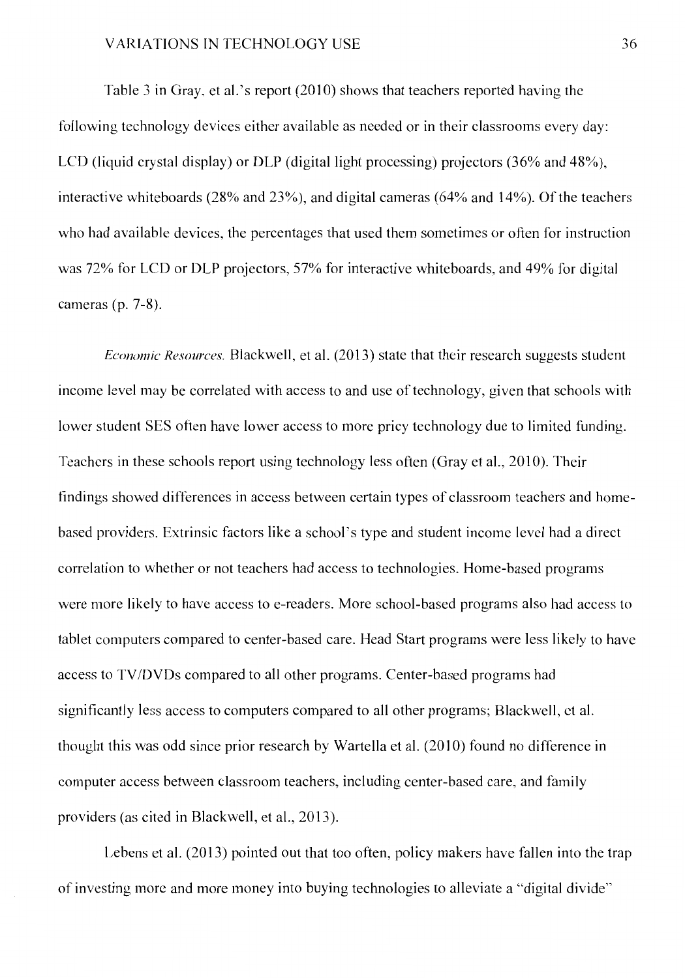Table 3 in Gray, et al.'s report (2010) shows that teachers reported having the following technology devices either available as needed or in their classrooms every day: LCD (liquid crystal display) or DLP (digital light processing) projectors (36% and 48%), interactive whiteboards (28% and 23%), and digital cameras (64% and 14%). Of the teachers who had available devices, the percentages that used them sometimes or often for instruction was 72% for LCD or OLP projectors, 57% for interactive whiteboards, and 49% for digital cameras (p. 7-8).

*Economic Resources.* Blackwell, et al. (2013) state that their research suggests student income level may be correlated with access to and use of technology, given that schools with lower student SES often have lower access to more pricy technology due to limited funding. Teachers in these schools report using technology less often (Gray et al., 2010). Their findings showed differences in access between certain types of classroom teachers and homebased providers. Extrinsic factors like a school's type and student income level had a direct correlation to whether or not teachers had access to technologies. Home-based programs were more likely to have access to e-readers. More school-based programs also had access to tablet computers compared to center-based care. Head Start programs were less likely to have access to TV /DVDs compared to all other programs. Center-based programs had significantly less access to computers compared to all other programs; Blackwell, ct al. thought this was odd since prior research by Wartella et al. (2010) found no difference in computer access between classroom teachers, including center-based care, and family providers (as cited in Blackwell, et al., 2013).

Lebens et al. (2013) pointed out that too often, policy makers have fallen into the trap of investing more and more money into buying technologies to alleviate a "digital divide"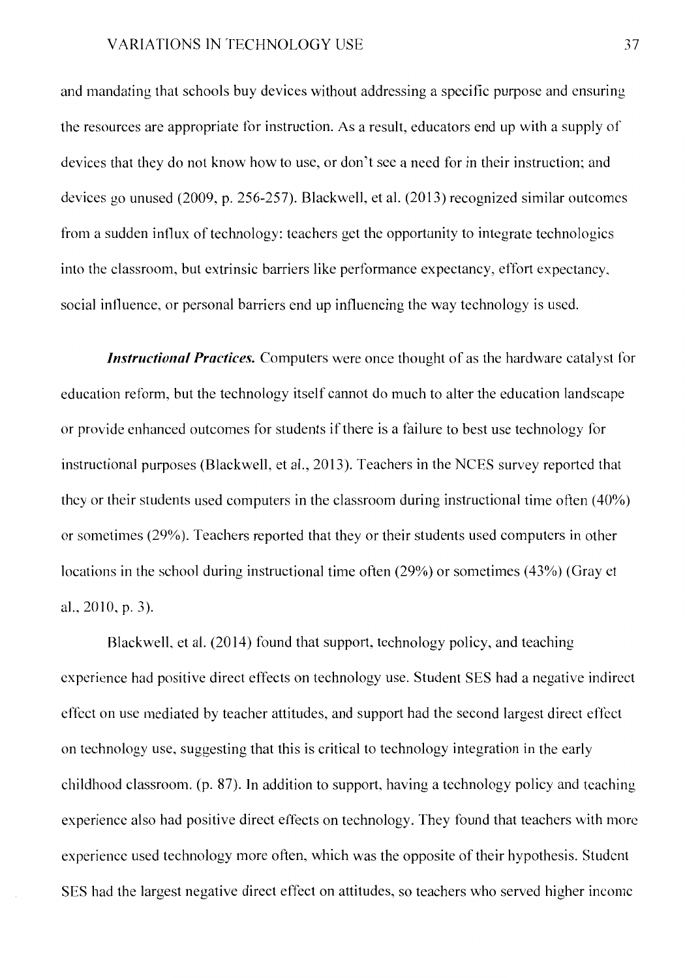and mandating that schools buy devices without addressing a specific purpose and ensuring the resources are appropriate for instruction. As a result, educators end up with a supply of devices that they do not know how to use, or don't see a need for in their instruction; and devices go unused (2009, p. 256-257). Blackwell, et al. (2013) recognized similar outcomes from a sudden influx of technology: teachers get the opportunity to integrate technologies into the classroom, but extrinsic barriers like performance expectancy, effort expectancy, social influence, or personal barriers end up influencing the way technology is used.

*Instructional Practices.* Computers were once thought of as the hardware catalyst for education reform, but the technology itself cannot do much to alter the education landscape or provide enhanced outcomes for students if there is a failure to best use technology for instructional purposes (Blackwell, et al., 2013). Teachers in the NCES survey reported that they or their students used computers in the classroom during instructional time often  $(40\%)$ or sometimes (29%). Teachers reported that they or their students used computers in other locations in the school during instructional time often (29%) or sometimes (43%) (Gray et al., 2010, p. 3).

Blackwell, et al. (2014) found that support, technology policy, and teaching experience had positive direct effects on technology use. Student SES had a negative indirect effect on use mediated by teacher attitudes, and support had the second largest direct effect on technology use, suggesting that this is critical to technology integration in the early childhood classroom. (p. 87). In addition to support, having a technology policy and teaching experience also had positive direct effects on technology. They found that teachers with more experience used technology more often, which was the opposite of their hypothesis. Student SES had the largest negative direct effect on attitudes, so teachers who served higher income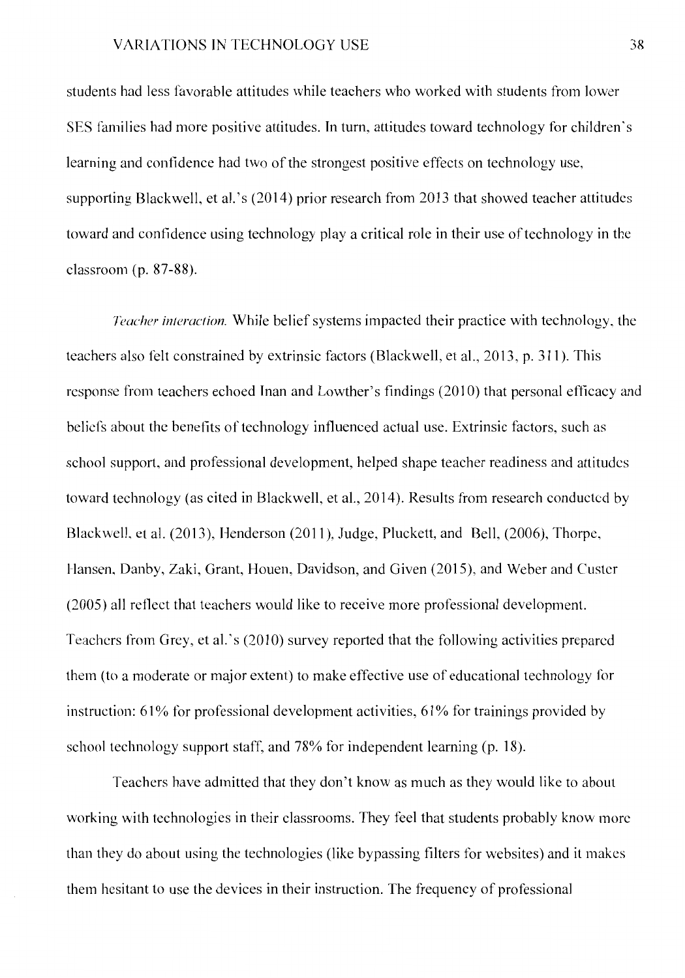students had less favorable attitudes while teachers who worked with students from lower SES families had more positive attitudes. In turn, attitudes toward technology for children's learning and confidence had two of the strongest positive effects on technology use, supporting Blackwell, et al.'s (2014) prior research from 2013 that showed teacher attitudes toward and confidence using technology play a critical role in their use of technology in the classroom (p. 87-88).

*Teacher interaction.* While belief systems impacted their practice with technology, the teachers also felt constrained by extrinsic factors (Blackwell, et al., 2013, p. 311 ). This response from teachers echoed Inan and Lowther's findings (2010) that personal efficacy and beliefs about the benefits of technology influenced actual use. Extrinsic factors, such as school support, and professional development, helped shape teacher readiness and attitudes toward technology (as cited in Blackwell, et al., 2014). Results from research conducted by Blackwell, et al. (2013), Henderson (2011), Judge, Pluckett, and Bell, (2006), Thorpe, Hansen, Danby, Zaki, Grant, Houen, Davidson, and Given (2015), and Weber and Custer (2005) all reflect that teachers would like to receive more professional development. Teachers from Grey, et al.'s (2010) survey reported that the following activities prepared them (to a moderate or major extent) to make effective use of educational technology for instruction: 61% for professional development activities, 61% for trainings provided by school technology support staff, and 78% for independent learning (p. 18).

Teachers have admitted that they don't know as much as they would like to about working with technologies in their classrooms. They feel that students probably know more than they do about using the technologies (like bypassing filters for websites) and it makes them hesitant to use the devices in their instruction. The frequency of professional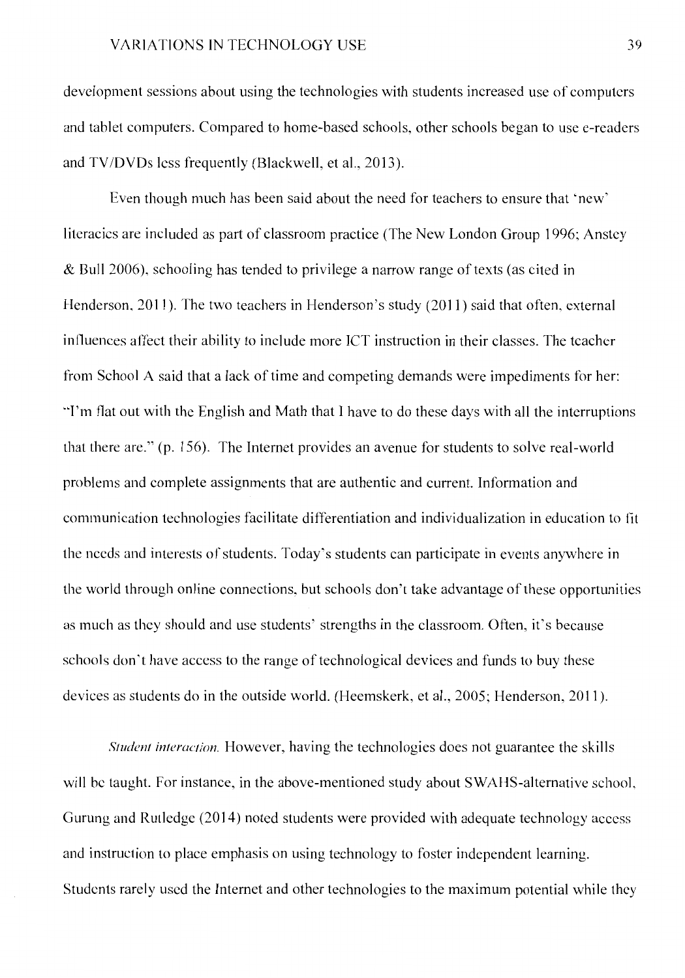development sessions about using the technologies with students increased use of computers and tablet computers. Compared to home-based schools, other schools began to use e-readers and TV /DVDs less frequently (Blackwell, et al., 2013).

Even though much has been said about the need for teachers to ensure that 'new' literacies are included as part of classroom practice (The New London Group 1996; Anstey & Bull 2006), schooling has tended to privilege a narrow range of texts (as cited in Henderson, 2011 ). The two teachers in Henderson's study (2011) said that often, external influences affect their ability to include more ICT instruction in their classes. The teacher from School A said that a lack of time and competing demands were impediments for her: "'I'm flat out with the English and Math that I have to do these days with all the interruptions that there are." (p. 156). The Internet provides an avenue for students to solve real-world problems and complete assignments that are authentic and current. Information and communication technologies facilitate differentiation and individualization in education to fit the needs and interests of students. Today's students can participate in events anywhere in the world through online connections, but schools don't take advantage of these opportunities as much as they should and use students' strengths in the classroom. Often, it's because schools don't have access to the range of technological devices and funds to buy these devices as students do in the outside world. (Heemskerk, et al., 2005; Henderson, 2011 ).

*Student interaction.* However, having the technologies does not guarantee the skills will be taught. For instance, in the above-mentioned study about SWAHS-alternative school, Gurung and Rutledge (2014) noted students were provided with adequate technology access and instruction to place emphasis on using technology to foster independent learning. Students rarely used the Internet and other technologies to the maximum potential while they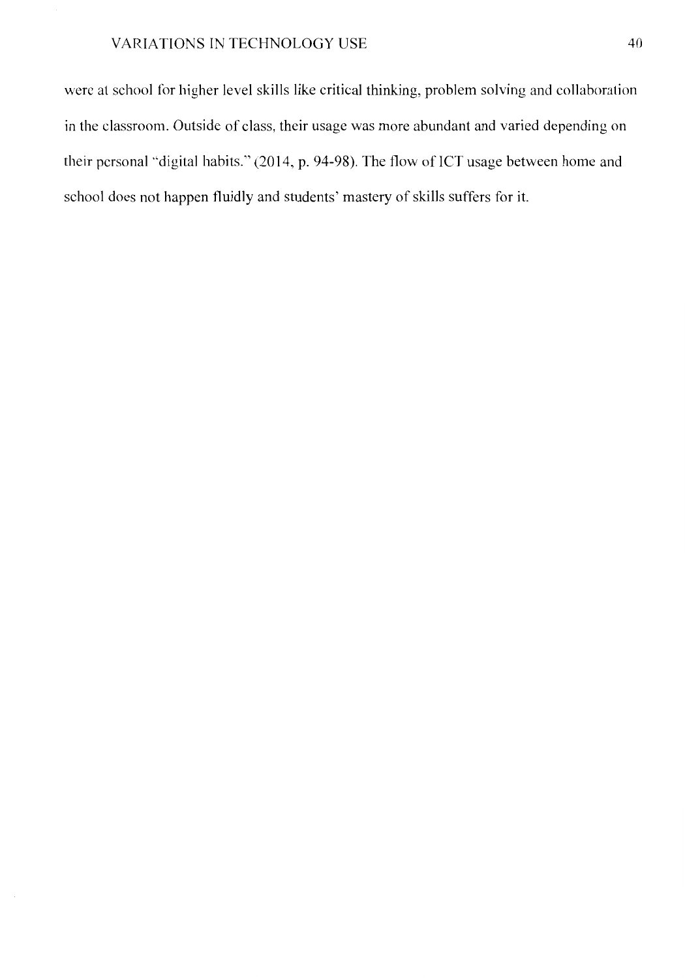were at school for higher level skills like critical thinking, problem solving and collaboration in the classroom. Outside of class, their usage was more abundant and varied depending on their personal "digital habits." (2014, p. 94-98). The flow of ICT usage between home and school does not happen fluidly and students' mastery of skills suffers for it.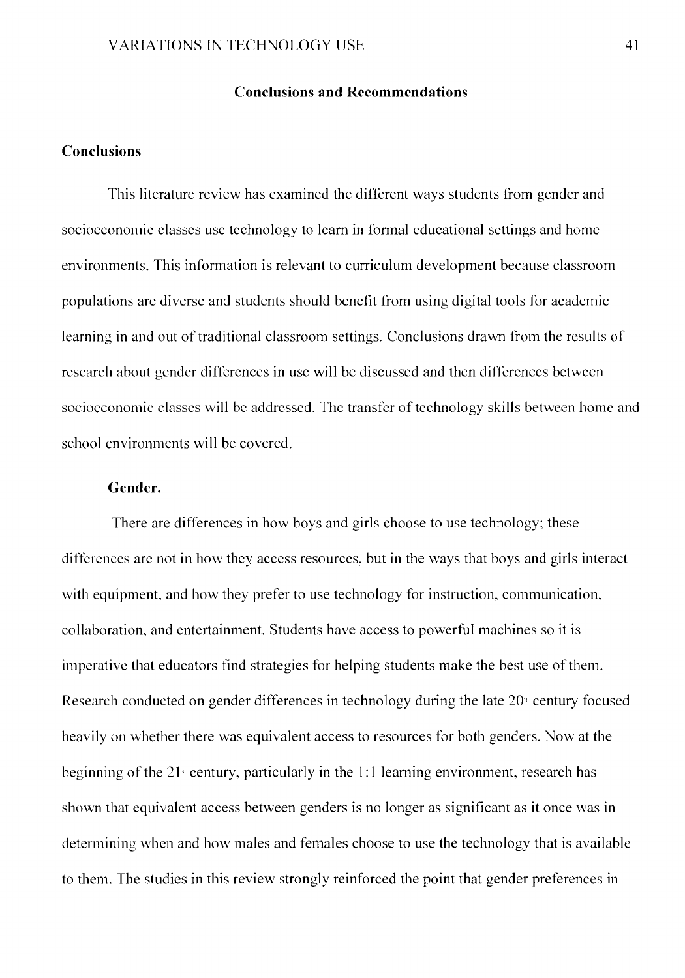#### **Conclusions and Recommendations**

#### **Conclusions**

This literature review has examined the different ways students from gender and socioeconomic classes use technology to learn in formal educational settings and home environments. This information is relevant to curriculum development because classroom populations are diverse and students should benefit from using digital tools for academic learning in and out of traditional classroom settings. Conclusions drawn from the results of research about gender differences in use will be discussed and then differences between socioeconomic classes will be addressed. The transfer of technology skills between home and school environments will be covered.

#### **Gender.**

There arc differences in how boys and girls choose to use technology: these differences are not in how they access resources, but in the ways that boys and girls interact with equipment, and how they prefer to use technology for instruction, communication, collaboration, and entertainment. Students have access to powerful machines so it is imperative that educators find strategies for helping students make the best use of them. Research conducted on gender differences in technology during the late  $20<sup>th</sup>$  century focused heavily on whether there was equivalent access to resources for both genders. Now at the beginning of the  $21$  century, particularly in the 1:1 learning environment, research has shown that equivalent access between genders is no longer as significant as it once was in determining when and how males and females choose to use the technology that is available to them. The studies in this review strongly reinforced the point that gender preferences in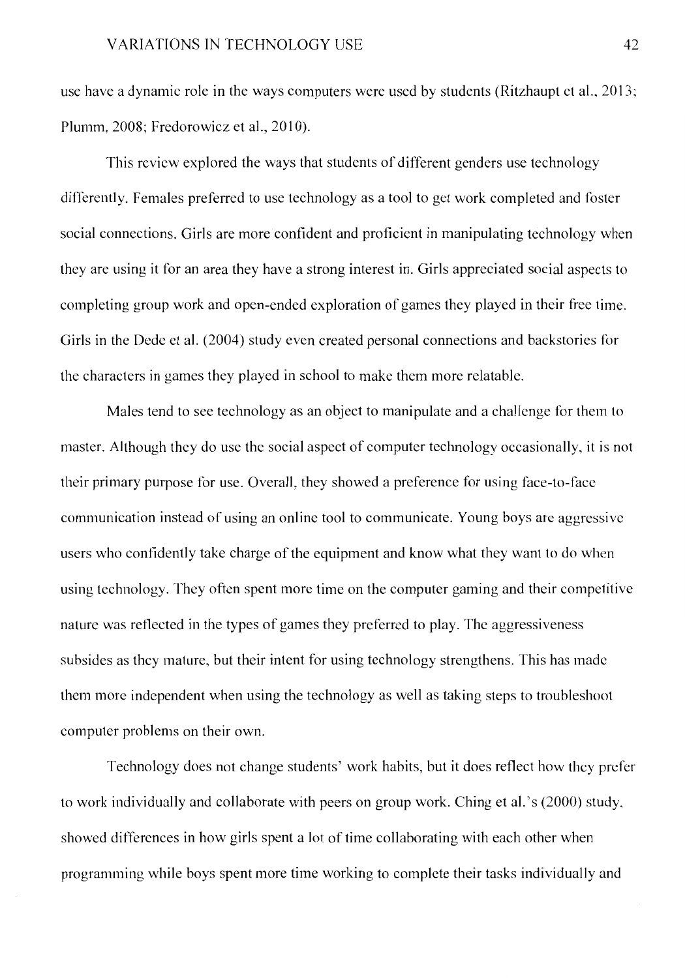use have a dynamic role in the ways computers were used by students (Ritzhaupt ct al., 2013; Plumm, 2008; Fredorowicz et al., 2010).

This review explored the ways that students of different genders use technology differently. Females preferred to use technology as a tool to get work completed and foster social connections. Girls are more confident and proficient in manipulating technology when they arc using it for an area they have a strong interest in. Girls appreciated social aspects to completing group work and open-ended exploration of games they played in their free time. Girls in the Dede ct al. (2004) study even created personal connections and backstories for the characters in games they played in school to make them more relatable.

Males tend to see technology as an object to manipulate and a challenge for them to master. Although they do use the social aspect of computer technology occasionally, it is not their primary purpose for use. Overall, they showed a preference for using face-to-face communication instead of using an online tool to communicate. Young boys are aggressive users who confidently take charge of the equipment and know what they want to do when using technology. They often spent more time on the computer gaming and their competitive nature was reflected in the types of games they preferred to play. The aggressiveness subsides as they mature, but their intent for using technology strengthens. This has made them more independent when using the technology as well as taking steps to troubleshoot computer problems on their own.

Technology does not change students' work habits, but it does reflect how they prefer to work individually and collaborate with peers on group work. Ching et al.'s (2000) study, showed differences in how girls spent a lot of time collaborating with each other when programming while boys spent more time working to complete their tasks individually and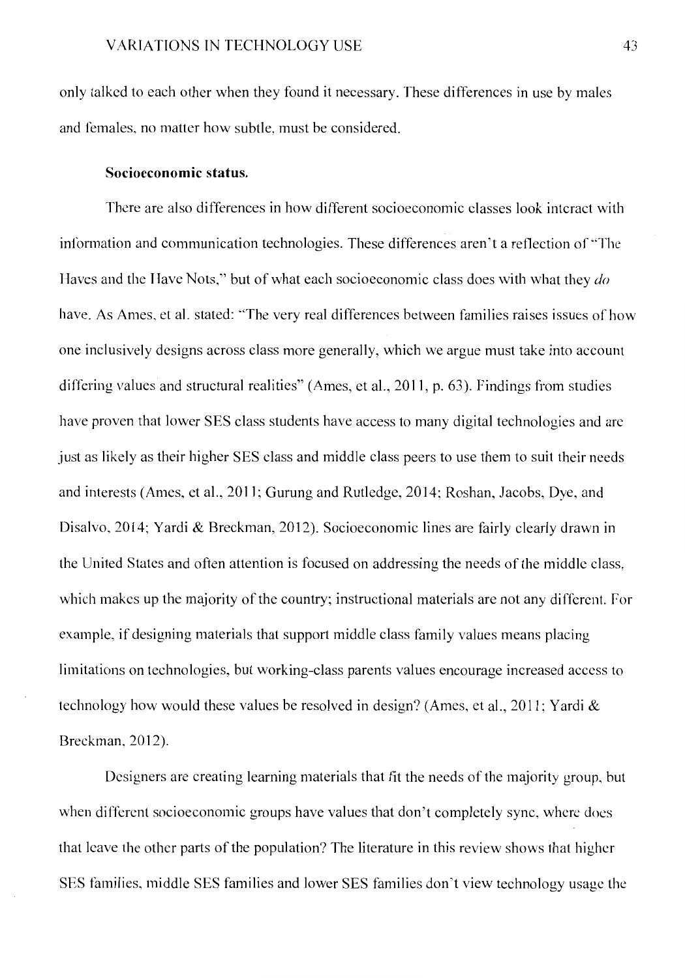only talked to each other when they found it necessary. These differences in use by males and females, no matter how subtle, must be considered.

#### **Socioeconomic status.**

There are also differences in how different socioeconomic classes look interact with information and communication technologies. These differences aren't a reflection of "The Haves and the Have Nots," but of what each socioeconomic class does with what they *do*  have. As Ames, et al. stated: "The very real differences between families raises issues of how one inclusively designs across class more generally, which we argue must take into account differing values and structural realities" (Ames, et al., 2011, p. 63). Findings from studies have proven that lower SES class students have access to many digital technologies and are just as likely as their higher SES class and middle class peers to use them to suit their needs and interests (Ames, et al., 2011; Gurung and Rutledge, 2014; Roshan, Jacobs, Dye, and Disalvo, 2014; Yardi & Breckman, 2012). Socioeconomic lines are fairly clearly drawn in the United States and often attention is focused on addressing the needs of the middle class, which makes up the majority of the country; instructional materials are not any different. For example, if designing materials that support middle class family values means placing limitations on technologies, but working-class parents values encourage increased access to technology how would these values be resolved in design? (Ames, et al., 2011; Yardi & Breckman, 2012).

Designers are creating learning materials that fit the needs of the majority group, hut when different socioeconomic groups have values that don't completely sync, where does that leave the other parts of the population? The literature in this review shows that higher SES families, middle SES families and lower SES families don't view technology usage the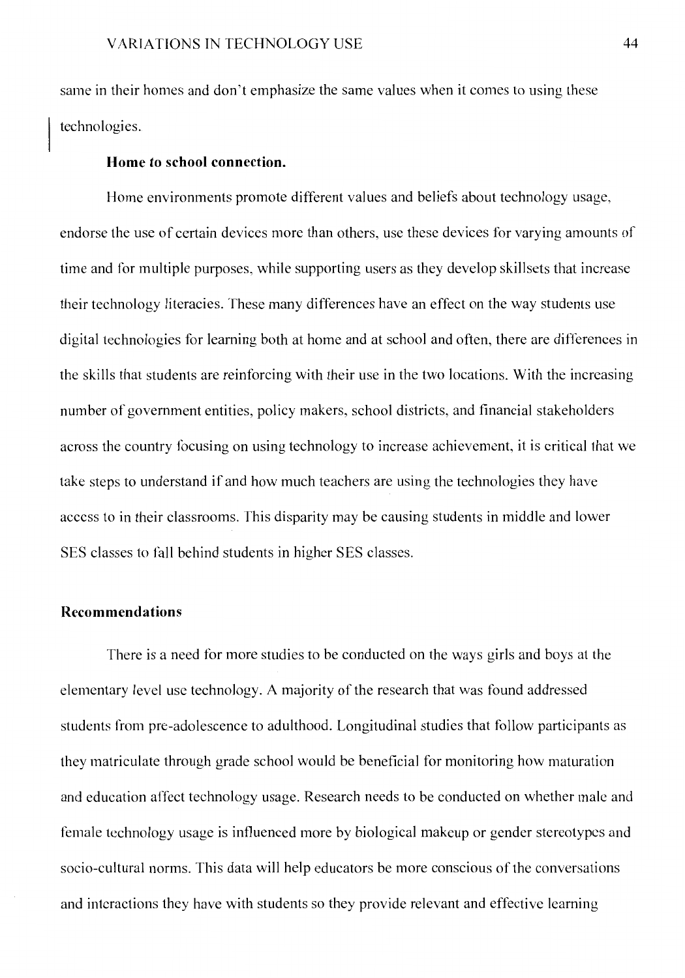same in their homes and don't emphasize the same values when it comes to using these technologies.

#### **Home to school connection.**

Horne environments promote different values and beliefs about technology usage, endorse the use of certain devices more than others, use these devices for varying amounts of time and for multiple purposes, while supporting users as they develop skillsets that increase their technology literacies. These many differences have an effect on the way students use digital technologies for learning both at home and at school and often, there are differences in the skills that students are reinforcing with their use in the two locations. With the increasing number of government entities, policy makers, school districts, and financial stakeholders across the country focusing on using technology to increase achievement, it is critical that we take steps to understand if and how much teachers are using the technologies they have access to in their classrooms. This disparity may be causing students in middle and lower SES classes to fall behind students in higher SES classes.

#### **Recommendations**

There is a need for more studies to be conducted on the ways girls and boys at the elementary level use technology. A majority of the research that was found addressed students from pre-adolescence to adulthood. Longitudinal studies that follow participants as they matriculate through grade school would be beneficial for monitoring how maturation and education affect technology usage. Research needs to be conducted on whether male and female technology usage is influenced more by biological makeup or gender stereotypes and socio-cultural norms. This data will help educators be more conscious of the conversations and interactions they have with students so they provide relevant and effective learning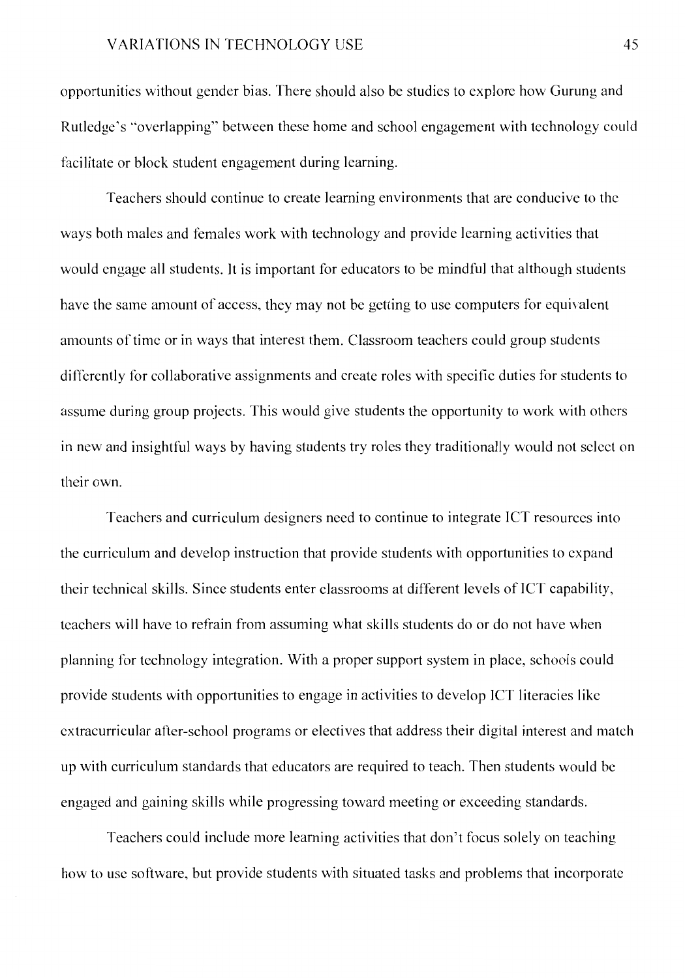opportunities without gender bias. There should also be studies to explore how Gurung and Rutledge's "overlapping" between these home and school engagement with technology could facilitate or block student engagement during learning.

Teachers should continue to create learning environments that are conducive to the ways both males and females work with technology and provide learning activities that would engage all students. It is important for educators to be mindful that although students have the same amount of access, they may not be getting to use computers for equivalent amounts of time or in ways that interest them. Classroom teachers could group students differently for collaborative assignments and create roles with specific duties for students to assume during group projects. This would give students the opportunity to work with others in new and insightful ways by having students try roles they traditionally would not select on their own.

Teachers and curriculum designers need to continue to integrate ICT resources into the curriculum and develop instruction that provide students with opportunities to expand their technical skills. Since students enter classrooms at different levels of ICT capability, teachers will have to refrain from assuming what skills students do or do not have when planning for technology integration. With a proper support system in place, schools could provide students with opportunities to engage in activities to develop JCT literacies like extracurricular after-school programs or electives that address their digital interest and match up with curriculum standards that educators are required to teach. Then students would be engaged and gaining skills while progressing toward meeting or exceeding standards.

Teachers could include more learning activities that don't focus solely on teaching how to use software, but provide students with situated tasks and problems that incorporate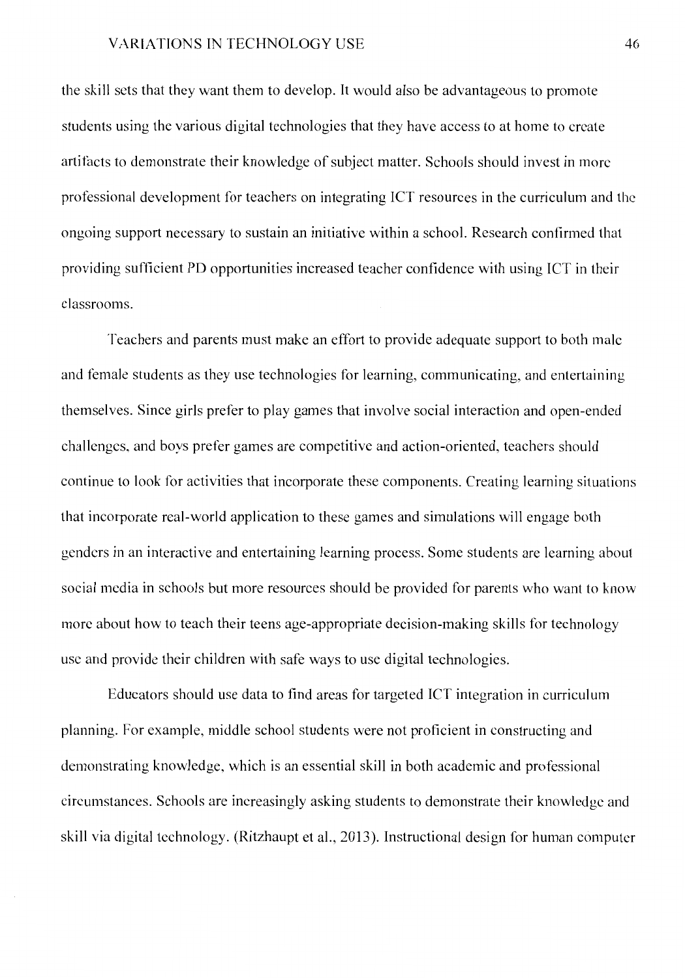the skill sets that they want them to develop. It would also be advantageous to promote students using the various digital technologies that they have access to at home to create artifacts to demonstrate their knowledge of subject matter. Schools should invest in more professional development for teachers on integrating ICT resources in the curriculum and the ongoing support necessary to sustain an initiative within a school. Research confirmed that providing sufficient PD opportunities increased teacher confidence with using ICT in their classrooms.

Teachers and parents must make an effort to provide adequate support to both male and female students as they use technologies for learning, communicating, and entertaining themselves. Since girls prefer to play games that involve social interaction and open-ended challenges, and boys prefer games are competitive and action-oriented, teachers should continue to look for activities that incorporate these components. Creating learning situations that incorporate real-world application to these games and simulations will engage both genders in an interactive and entertaining learning process. Some students are learning about social media in schools but more resources should be provided for parents who want to know more about how to teach their teens age-appropriate decision-making skills for technology use and provide their children with safe ways to use digital technologies.

Educators should use data to find areas for targeted ICT integration in curriculum planning. For example, middle school students were not proficient in constructing and demonstrating knowledge, which is an essential skill in both academic and professional circumstances. Schools are increasingly asking students to demonstrate their knowledge and skill via digital technology. (Ritzhaupt et al., 2013). Instructional design for human computer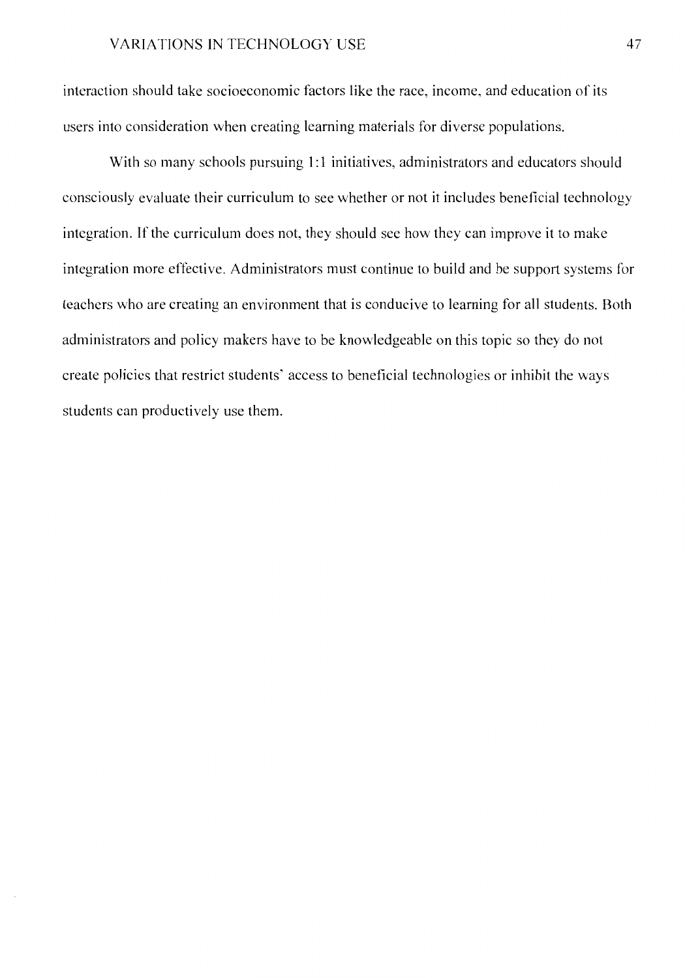interaction should take socioeconomic factors like the race, income, and education of its users into consideration when creating learning materials for diverse populations.

With so many schools pursuing 1:1 initiatives, administrators and educators should consciously evaluate their curriculum to see whether or not it includes beneficial technology integration. If the curriculum does not, they should see how they can improve it to make integration more effective. Administrators must continue to build and be support systems for teachers who are creating an environment that is conducive to learning for all students. Both administrators and policy makers have to be knowledgeable on this topic so they do not create policies that restrict students' access to beneficial technologies or inhibit the ways students can productively use them.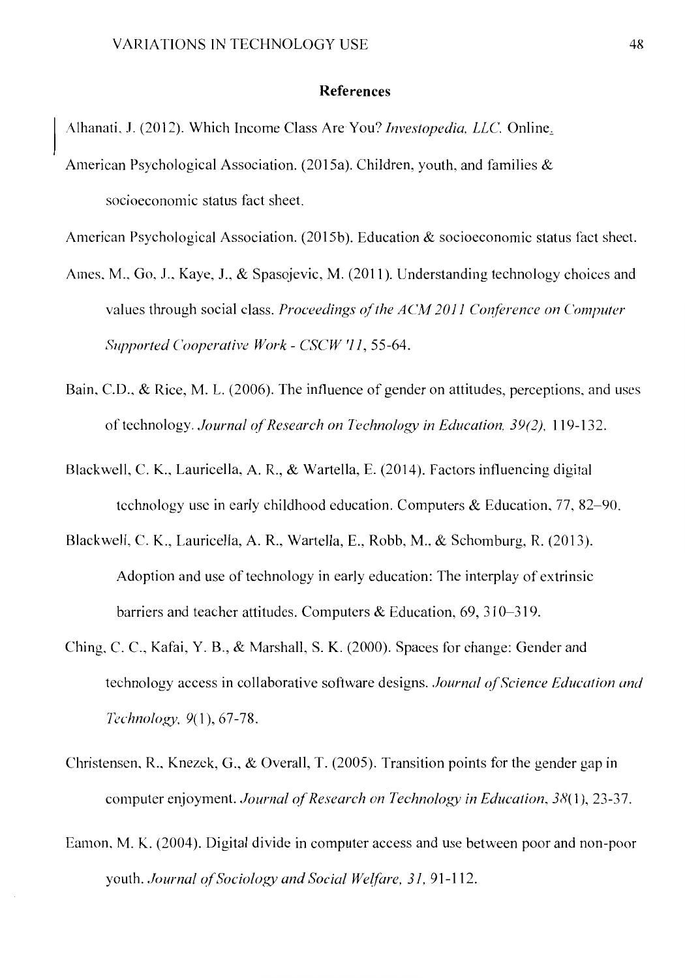#### **References**

Alhanati, J. (2012). Which Income Class Are You? *lnvestopedia. LLC.* Online~

American Psychological Association. (2015a). Children, youth, and families  $\&$ socioeconomic status fact sheet.

American Psychological Association. (2015b). Education  $\&$  socioeconomic status fact sheet.

- Ames, M., Go, J., Kaye, J., & Spasojevic, M. (2011). Understanding technology choices and values through social class. *Proceedings of the ACM 2011 Conference on Computer Supported Cooperative Work* - *CSCW '11,* 55-64.
- Bain, C.D., & Rice, M. L. (2006). The influence of gender on attitudes, perceptions, and uses of technology. *Journal of Research on Technology in Education*, 39(2), 119-132.
- Blackwell, C. K., Lauricella, A. R., & Wartella, E. (2014). Factors influencing digital technology use in early childhood education. Computers & Education, 77, 82-90.
- Blackwell, C. K., Lauricella, A. R., Wartella, E., Robb, M., & Schomburg, R. (2013 ). Adoption and use of technology in early education: The interplay of extrinsic barriers and teacher attitudes. Computers & Education, 69, 310-319.
- Ching, C. C., Kafai, Y. B., & Marshall, S. K. (2000). Spaces for change: Gender and technology access in collaborative software designs. *Journal of Science Education and Technology*, 9(1), 67-78.
- Christensen, R., Knezck, G., & Overall, T. (2005). Transition points for the gender gap in computer enjoyment. *Journal of Research on Technology in Education*, 38(1), 23-37.
- Eamon, M. K. (2004). Digital divide in computer access and use between poor and non-poor youth. *Journal of Sociology and Social Welfare, 31, 91-112.*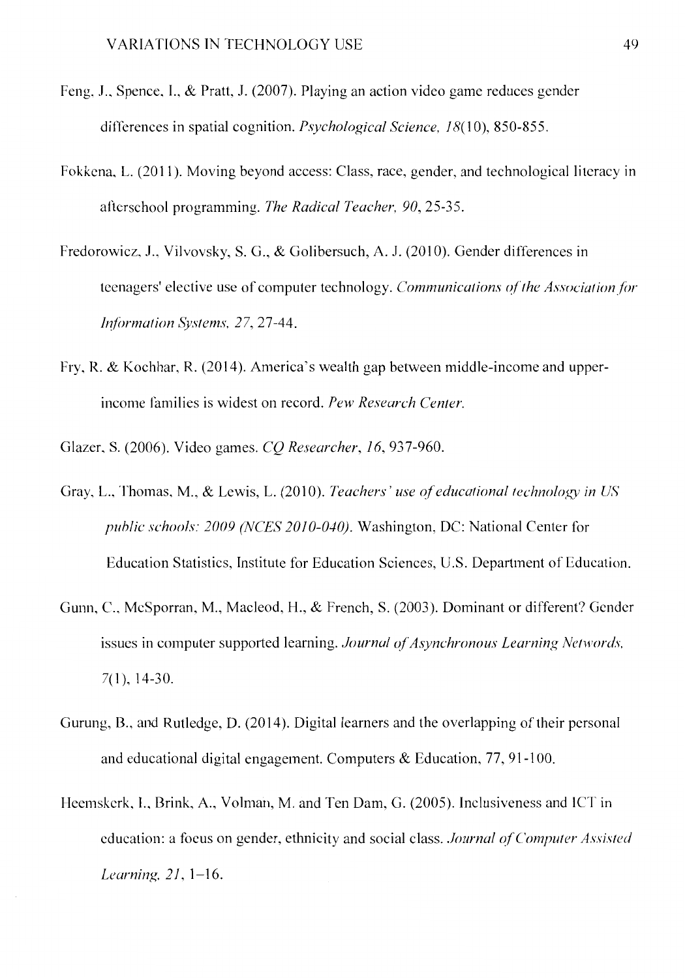- Feng, J., Spence, I., & Pratt, J. (2007). Playing an action video game reduces gender differences in spatial cognition. *Psychological Science*, 18(10), 850-855.
- Fokkena, L. (2011). Moving beyond access: Class, race, gender, and technological literacy in afterschool programming. *The Radical Teacher. 90,* 25-35.
- Fredorowicz, J., Vilvovsky, S. G., & Golibersuch, A. J. (2010). Gender differences in teenagers' elective use of computer technology. *Communications of the Association for b?lormation Systems. 27,* 27-44.
- Fry, R. & Kochhar, R. (2014). America's wealth gap between middle-income and upperincome families is widest on record. *Pew Research Center.*

Glazer, S. (2006). Video games. *CQ Researcher, 16,* 937-960.

- Gray, L., Thomas, M., & Lewis, L. (2010). *Teachers' use of educational technology in US puhlic schools: 2009 (NCES 2010-040).* Washington, DC: National Center for Education Statistics, Institute for Education Sciences, U.S. Department of Education.
- Gunn, C., McSporran, M., Macleod, H., & French, S. (2003). Dominant or different? Gender issues in computer supported learning. *Journal of Asynchronous Learning Networds*, 7(1), 14-30.
- Gurung, B., and Rutledge, D. (2014). Digital learners and the overlapping of their personal and educational digital engagement. Computers & Education, 77, 91-100.
- Heemskerk, I., Brink, A., Volman, M. and Ten Dam, G. (2005). Inclusiveness and JCT in education: a foeus on gender, ethnicity and social class. *Journal of Computer Assisted Learning. 21,* 1-16.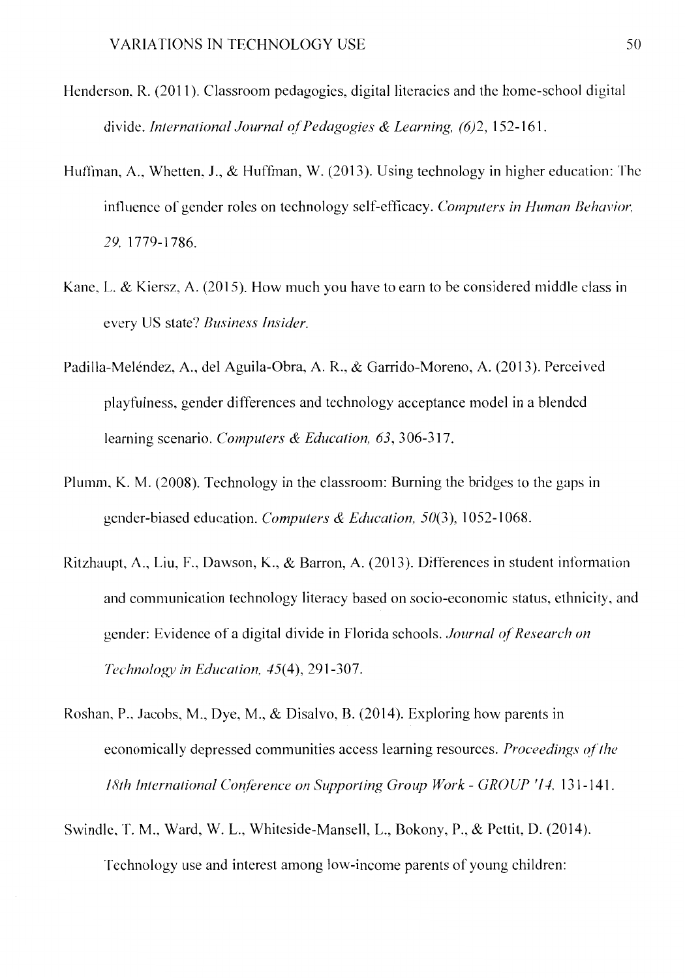- Henderson, R. (2011 ). Classroom pedagogies, digital literacies and the home-school digital divide. *International Journal of Pedagogies & Learning, (6)2,* 152-161.
- Huffman, A., Whetten, J., & Huffman, W. (2013). Using technology in higher education: The influence of gender roles on technology self-efficacy. *Computers in Human Behavior,*  29, 1779-1786.
- Kane, L. & Kiersz, A. (2015). How much you have to earn to be considered middle class in every US state? *Business Insider.*
- Padilla-Melendez, A., de! Aguila-Obra, A. R., & Garrido-Moreno, A. (2013). Perceived playfulness, gender differences and technology acceptance model in a blended learning scenario. *Computers & Education, 63,* 306-317.
- Plumm, K. M. (2008). Technology in the classroom: Burning the bridges to the gaps in gender-biased education. *Computers & Education,* 50(3), 1052-1068.
- Ritzhaupt, A., Liu, F., Dawson, K., & Barron, A. (2013). Differences in student information and communication technology literacy based on socio-economic status, ethnicity, and gender: Evidence of a digital divide in Florida schools. *Journal of Research on Technology in Education, 45(4), 291-307.*
- Roshan, P., Jacobs, M., Dye, M., & Disalvo, B. (2014). Exploring how parents in economically depressed communities access learning resources. *Proceedings of the 18th International Conference on Supporting Group Work* - *GROUP '14,* 131-141.
- Swindle, T. M., Ward, W. L., Whiteside-Mansell, L., Bokony, P., & Pettit, D. (2014). Technology use and interest among low-income parents of young children: